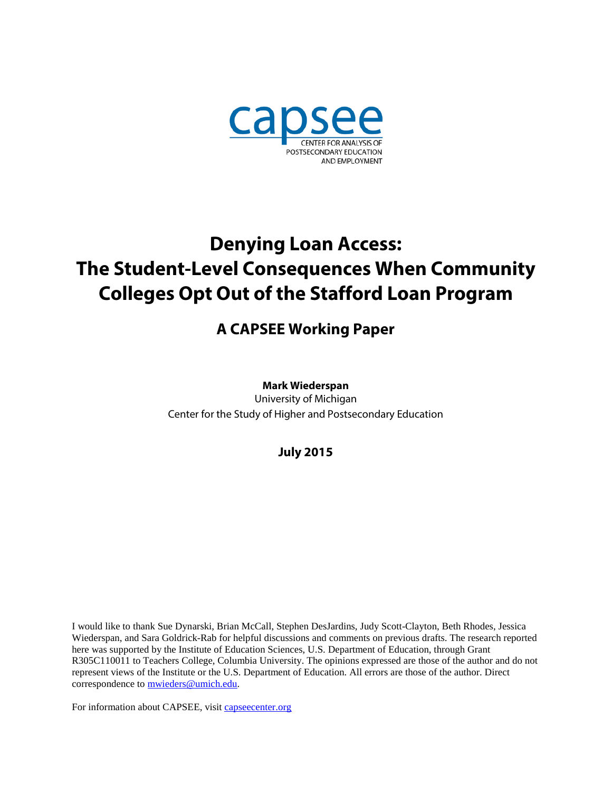

# **Denying Loan Access: The Student-Level Consequences When Community Colleges Opt Out of the Stafford Loan Program**

## **A CAPSEE Working Paper**

#### **Mark Wiederspan**

University of Michigan Center for the Study of Higher and Postsecondary Education

#### **July 2015**

I would like to thank Sue Dynarski, Brian McCall, Stephen DesJardins, Judy Scott-Clayton, Beth Rhodes, Jessica Wiederspan, and Sara Goldrick-Rab for helpful discussions and comments on previous drafts. The research reported here was supported by the Institute of Education Sciences, U.S. Department of Education, through Grant R305C110011 to Teachers College, Columbia University. The opinions expressed are those of the author and do not represent views of the Institute or the U.S. Department of Education. All errors are those of the author. Direct correspondence to [mwieders@umich.edu.](mailto:mwieders@umich.edu)

For information about CAPSEE, visit [capseecenter.org](http://capseecenter.org/)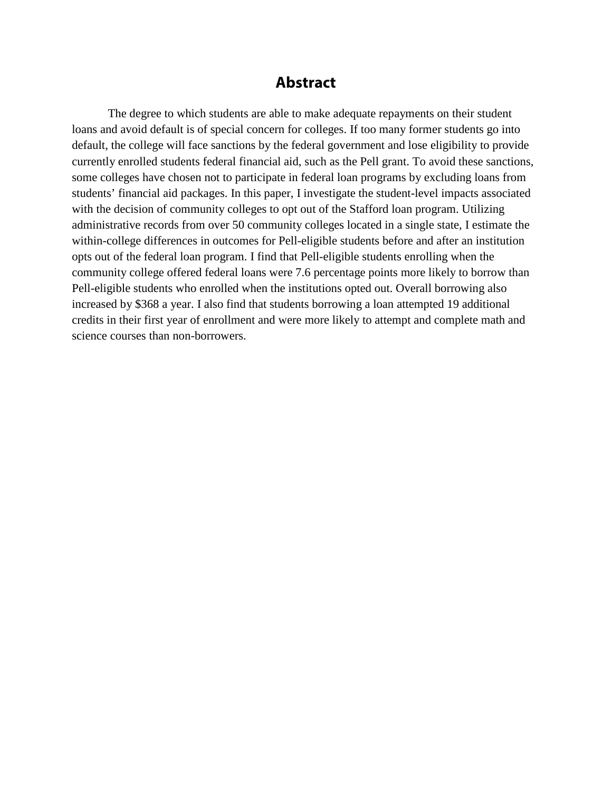## **Abstract**

The degree to which students are able to make adequate repayments on their student loans and avoid default is of special concern for colleges. If too many former students go into default, the college will face sanctions by the federal government and lose eligibility to provide currently enrolled students federal financial aid, such as the Pell grant. To avoid these sanctions, some colleges have chosen not to participate in federal loan programs by excluding loans from students' financial aid packages. In this paper, I investigate the student-level impacts associated with the decision of community colleges to opt out of the Stafford loan program. Utilizing administrative records from over 50 community colleges located in a single state, I estimate the within-college differences in outcomes for Pell-eligible students before and after an institution opts out of the federal loan program. I find that Pell-eligible students enrolling when the community college offered federal loans were 7.6 percentage points more likely to borrow than Pell-eligible students who enrolled when the institutions opted out. Overall borrowing also increased by \$368 a year. I also find that students borrowing a loan attempted 19 additional credits in their first year of enrollment and were more likely to attempt and complete math and science courses than non-borrowers.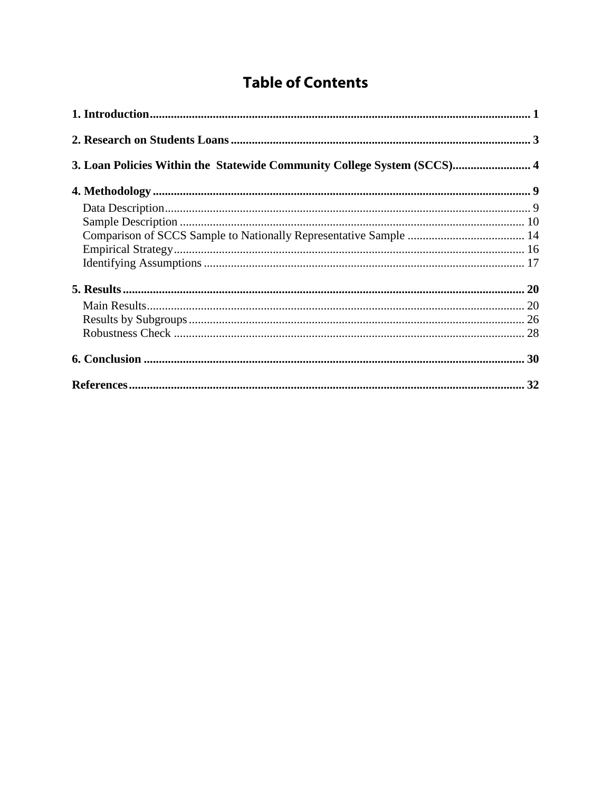## **Table of Contents**

| 3. Loan Policies Within the Statewide Community College System (SCCS) 4 |  |
|-------------------------------------------------------------------------|--|
|                                                                         |  |
|                                                                         |  |
|                                                                         |  |
|                                                                         |  |
|                                                                         |  |
|                                                                         |  |
|                                                                         |  |
|                                                                         |  |
|                                                                         |  |
|                                                                         |  |
|                                                                         |  |
|                                                                         |  |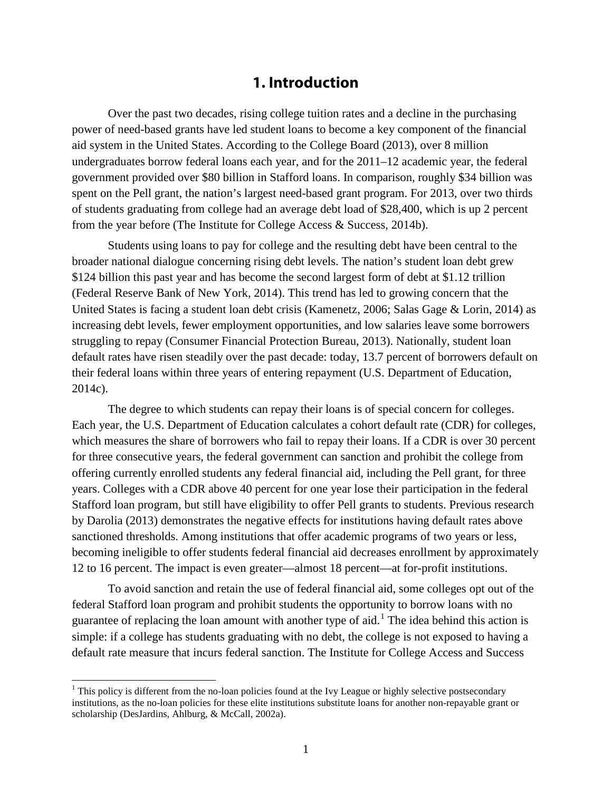## **1. Introduction**

<span id="page-4-0"></span>Over the past two decades, rising college tuition rates and a decline in the purchasing power of need-based grants have led student loans to become a key component of the financial aid system in the United States. According to the College Board (2013), over 8 million undergraduates borrow federal loans each year, and for the 2011–12 academic year, the federal government provided over \$80 billion in Stafford loans. In comparison, roughly \$34 billion was spent on the Pell grant, the nation's largest need-based grant program. For 2013, over two thirds of students graduating from college had an average debt load of \$28,400, which is up 2 percent from the year before (The Institute for College Access & Success, 2014b).

Students using loans to pay for college and the resulting debt have been central to the broader national dialogue concerning rising debt levels. The nation's student loan debt grew \$124 billion this past year and has become the second largest form of debt at \$1.12 trillion (Federal Reserve Bank of New York, 2014). This trend has led to growing concern that the United States is facing a student loan debt crisis (Kamenetz, 2006; Salas Gage & Lorin, 2014) as increasing debt levels, fewer employment opportunities, and low salaries leave some borrowers struggling to repay (Consumer Financial Protection Bureau, 2013). Nationally, student loan default rates have risen steadily over the past decade: today, 13.7 percent of borrowers default on their federal loans within three years of entering repayment (U.S. Department of Education, 2014c).

The degree to which students can repay their loans is of special concern for colleges. Each year, the U.S. Department of Education calculates a cohort default rate (CDR) for colleges, which measures the share of borrowers who fail to repay their loans. If a CDR is over 30 percent for three consecutive years, the federal government can sanction and prohibit the college from offering currently enrolled students any federal financial aid, including the Pell grant, for three years. Colleges with a CDR above 40 percent for one year lose their participation in the federal Stafford loan program, but still have eligibility to offer Pell grants to students. Previous research by Darolia (2013) demonstrates the negative effects for institutions having default rates above sanctioned thresholds. Among institutions that offer academic programs of two years or less, becoming ineligible to offer students federal financial aid decreases enrollment by approximately 12 to 16 percent. The impact is even greater—almost 18 percent—at for-profit institutions.

To avoid sanction and retain the use of federal financial aid, some colleges opt out of the federal Stafford loan program and prohibit students the opportunity to borrow loans with no guarantee of replacing the loan amount with another type of aid.<sup>[1](#page-4-1)</sup> The idea behind this action is simple: if a college has students graduating with no debt, the college is not exposed to having a default rate measure that incurs federal sanction. The Institute for College Access and Success

<span id="page-4-1"></span> $1$  This policy is different from the no-loan policies found at the Ivy League or highly selective postsecondary institutions, as the no-loan policies for these elite institutions substitute loans for another non-repayable grant or scholarship (DesJardins, Ahlburg, & McCall, 2002a).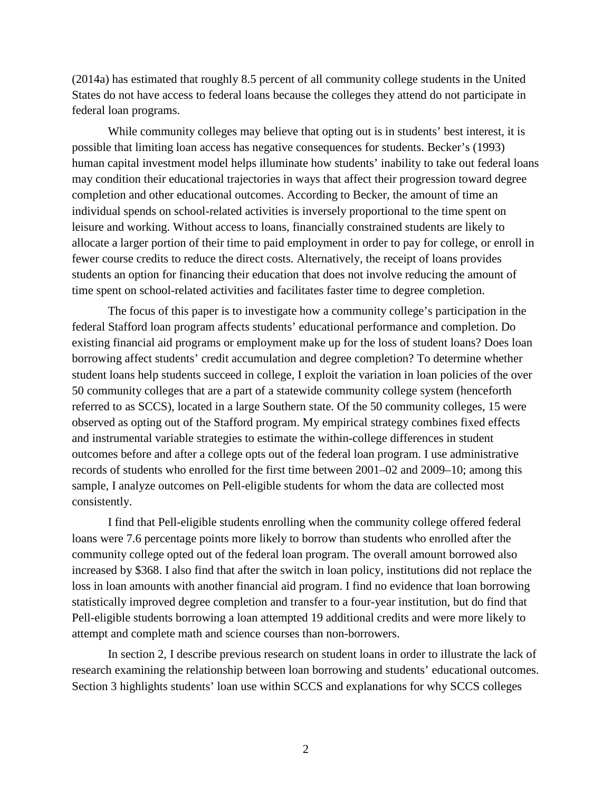(2014a) has estimated that roughly 8.5 percent of all community college students in the United States do not have access to federal loans because the colleges they attend do not participate in federal loan programs.

While community colleges may believe that opting out is in students' best interest, it is possible that limiting loan access has negative consequences for students. Becker's (1993) human capital investment model helps illuminate how students' inability to take out federal loans may condition their educational trajectories in ways that affect their progression toward degree completion and other educational outcomes. According to Becker, the amount of time an individual spends on school-related activities is inversely proportional to the time spent on leisure and working. Without access to loans, financially constrained students are likely to allocate a larger portion of their time to paid employment in order to pay for college, or enroll in fewer course credits to reduce the direct costs. Alternatively, the receipt of loans provides students an option for financing their education that does not involve reducing the amount of time spent on school-related activities and facilitates faster time to degree completion.

The focus of this paper is to investigate how a community college's participation in the federal Stafford loan program affects students' educational performance and completion. Do existing financial aid programs or employment make up for the loss of student loans? Does loan borrowing affect students' credit accumulation and degree completion? To determine whether student loans help students succeed in college, I exploit the variation in loan policies of the over 50 community colleges that are a part of a statewide community college system (henceforth referred to as SCCS), located in a large Southern state. Of the 50 community colleges, 15 were observed as opting out of the Stafford program. My empirical strategy combines fixed effects and instrumental variable strategies to estimate the within-college differences in student outcomes before and after a college opts out of the federal loan program. I use administrative records of students who enrolled for the first time between 2001–02 and 2009–10; among this sample, I analyze outcomes on Pell-eligible students for whom the data are collected most consistently.

I find that Pell-eligible students enrolling when the community college offered federal loans were 7.6 percentage points more likely to borrow than students who enrolled after the community college opted out of the federal loan program. The overall amount borrowed also increased by \$368. I also find that after the switch in loan policy, institutions did not replace the loss in loan amounts with another financial aid program. I find no evidence that loan borrowing statistically improved degree completion and transfer to a four-year institution, but do find that Pell-eligible students borrowing a loan attempted 19 additional credits and were more likely to attempt and complete math and science courses than non-borrowers.

In section 2, I describe previous research on student loans in order to illustrate the lack of research examining the relationship between loan borrowing and students' educational outcomes. Section 3 highlights students' loan use within SCCS and explanations for why SCCS colleges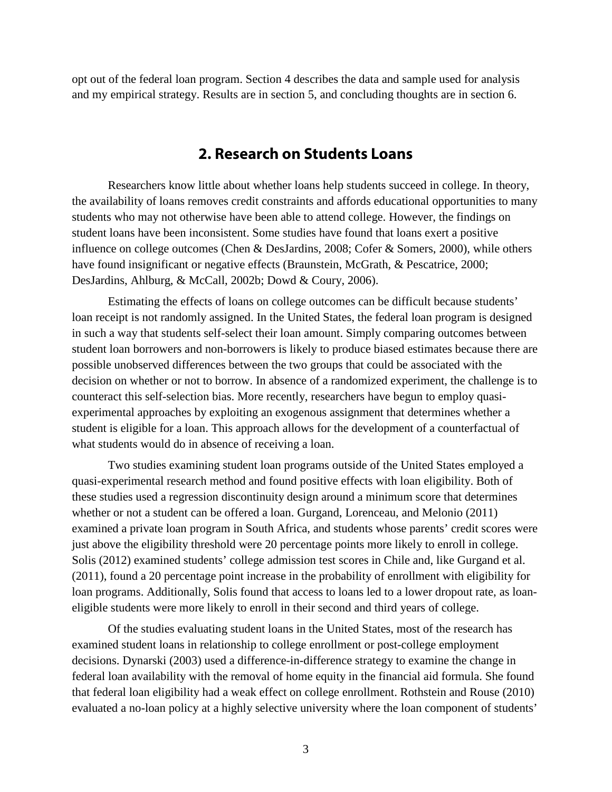opt out of the federal loan program. Section 4 describes the data and sample used for analysis and my empirical strategy. Results are in section 5, and concluding thoughts are in section 6.

### **2. Research on Students Loans**

<span id="page-6-0"></span>Researchers know little about whether loans help students succeed in college. In theory, the availability of loans removes credit constraints and affords educational opportunities to many students who may not otherwise have been able to attend college. However, the findings on student loans have been inconsistent. Some studies have found that loans exert a positive influence on college outcomes (Chen & DesJardins, 2008; Cofer & Somers, 2000), while others have found insignificant or negative effects (Braunstein, McGrath, & Pescatrice, 2000; DesJardins, Ahlburg, & McCall, 2002b; Dowd & Coury, 2006).

Estimating the effects of loans on college outcomes can be difficult because students' loan receipt is not randomly assigned. In the United States, the federal loan program is designed in such a way that students self-select their loan amount. Simply comparing outcomes between student loan borrowers and non-borrowers is likely to produce biased estimates because there are possible unobserved differences between the two groups that could be associated with the decision on whether or not to borrow. In absence of a randomized experiment, the challenge is to counteract this self-selection bias. More recently, researchers have begun to employ quasiexperimental approaches by exploiting an exogenous assignment that determines whether a student is eligible for a loan. This approach allows for the development of a counterfactual of what students would do in absence of receiving a loan.

Two studies examining student loan programs outside of the United States employed a quasi-experimental research method and found positive effects with loan eligibility. Both of these studies used a regression discontinuity design around a minimum score that determines whether or not a student can be offered a loan. Gurgand, Lorenceau, and Melonio (2011) examined a private loan program in South Africa, and students whose parents' credit scores were just above the eligibility threshold were 20 percentage points more likely to enroll in college. Solis (2012) examined students' college admission test scores in Chile and, like Gurgand et al. (2011), found a 20 percentage point increase in the probability of enrollment with eligibility for loan programs. Additionally, Solis found that access to loans led to a lower dropout rate, as loaneligible students were more likely to enroll in their second and third years of college.

Of the studies evaluating student loans in the United States, most of the research has examined student loans in relationship to college enrollment or post-college employment decisions. Dynarski (2003) used a difference-in-difference strategy to examine the change in federal loan availability with the removal of home equity in the financial aid formula. She found that federal loan eligibility had a weak effect on college enrollment. Rothstein and Rouse (2010) evaluated a no-loan policy at a highly selective university where the loan component of students'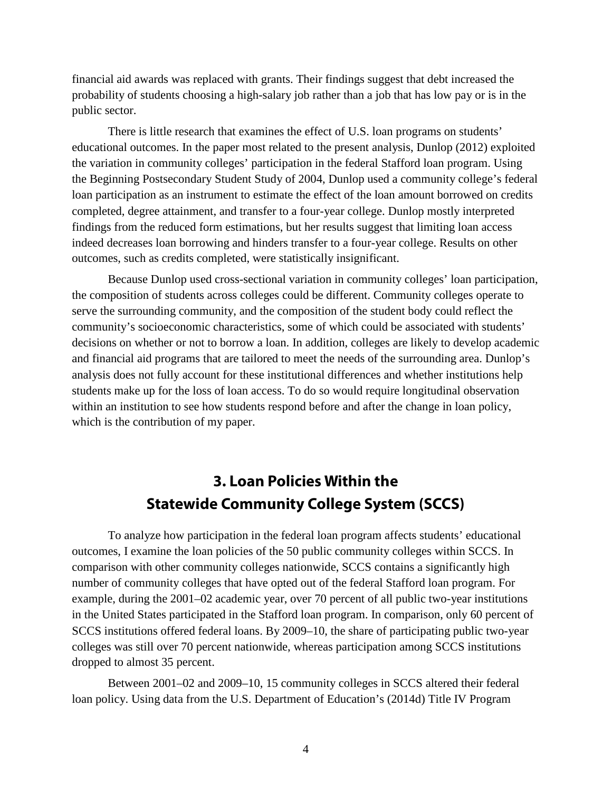financial aid awards was replaced with grants. Their findings suggest that debt increased the probability of students choosing a high-salary job rather than a job that has low pay or is in the public sector.

There is little research that examines the effect of U.S. loan programs on students' educational outcomes. In the paper most related to the present analysis, Dunlop (2012) exploited the variation in community colleges' participation in the federal Stafford loan program. Using the Beginning Postsecondary Student Study of 2004, Dunlop used a community college's federal loan participation as an instrument to estimate the effect of the loan amount borrowed on credits completed, degree attainment, and transfer to a four-year college. Dunlop mostly interpreted findings from the reduced form estimations, but her results suggest that limiting loan access indeed decreases loan borrowing and hinders transfer to a four-year college. Results on other outcomes, such as credits completed, were statistically insignificant.

Because Dunlop used cross-sectional variation in community colleges' loan participation, the composition of students across colleges could be different. Community colleges operate to serve the surrounding community, and the composition of the student body could reflect the community's socioeconomic characteristics, some of which could be associated with students' decisions on whether or not to borrow a loan. In addition, colleges are likely to develop academic and financial aid programs that are tailored to meet the needs of the surrounding area. Dunlop's analysis does not fully account for these institutional differences and whether institutions help students make up for the loss of loan access. To do so would require longitudinal observation within an institution to see how students respond before and after the change in loan policy, which is the contribution of my paper.

## **3. Loan Policies Within the Statewide Community College System (SCCS)**

<span id="page-7-0"></span>To analyze how participation in the federal loan program affects students' educational outcomes, I examine the loan policies of the 50 public community colleges within SCCS. In comparison with other community colleges nationwide, SCCS contains a significantly high number of community colleges that have opted out of the federal Stafford loan program. For example, during the 2001–02 academic year, over 70 percent of all public two-year institutions in the United States participated in the Stafford loan program. In comparison, only 60 percent of SCCS institutions offered federal loans. By 2009–10, the share of participating public two-year colleges was still over 70 percent nationwide, whereas participation among SCCS institutions dropped to almost 35 percent.

Between 2001–02 and 2009–10, 15 community colleges in SCCS altered their federal loan policy. Using data from the U.S. Department of Education's (2014d) Title IV Program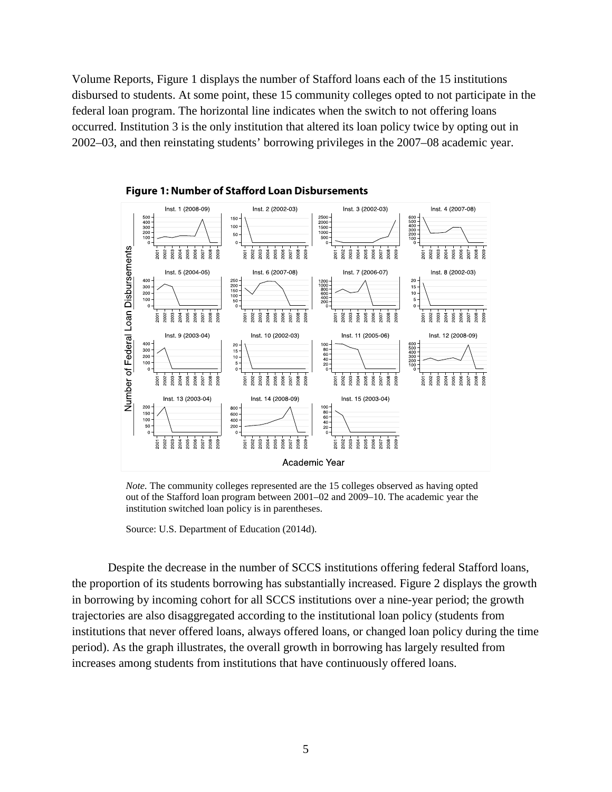Volume Reports, Figure 1 displays the number of Stafford loans each of the 15 institutions disbursed to students. At some point, these 15 community colleges opted to not participate in the federal loan program. The horizontal line indicates when the switch to not offering loans occurred. Institution 3 is the only institution that altered its loan policy twice by opting out in 2002–03, and then reinstating students' borrowing privileges in the 2007–08 academic year.



#### **Figure 1: Number of Stafford Loan Disbursements**

*Note.* The community colleges represented are the 15 colleges observed as having opted out of the Stafford loan program between 2001–02 and 2009–10. The academic year the institution switched loan policy is in parentheses.

Source: U.S. Department of Education (2014d).

Despite the decrease in the number of SCCS institutions offering federal Stafford loans, the proportion of its students borrowing has substantially increased. Figure 2 displays the growth in borrowing by incoming cohort for all SCCS institutions over a nine-year period; the growth trajectories are also disaggregated according to the institutional loan policy (students from institutions that never offered loans, always offered loans, or changed loan policy during the time period). As the graph illustrates, the overall growth in borrowing has largely resulted from increases among students from institutions that have continuously offered loans.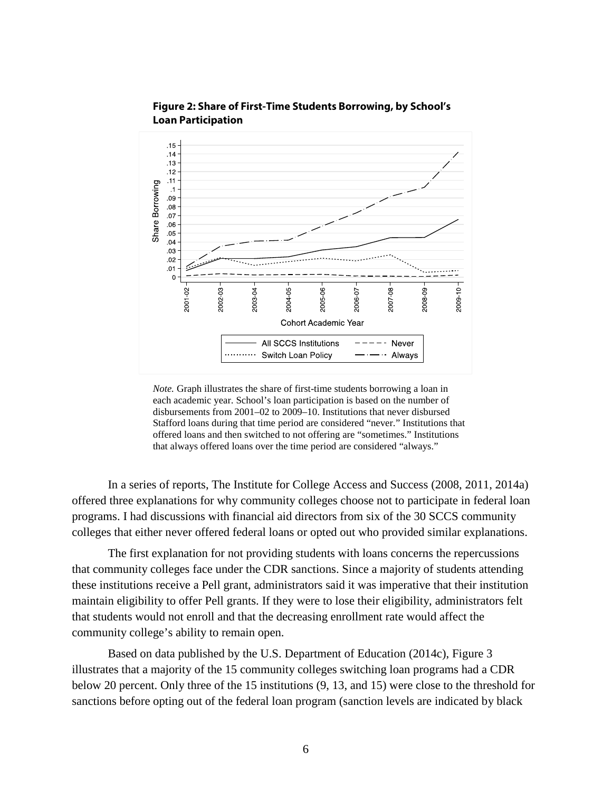

#### **Figure 2: Share of First-Time Students Borrowing, by School's Loan Participation**

*Note.* Graph illustrates the share of first-time students borrowing a loan in each academic year. School's loan participation is based on the number of disbursements from 2001–02 to 2009–10. Institutions that never disbursed Stafford loans during that time period are considered "never." Institutions that offered loans and then switched to not offering are "sometimes." Institutions that always offered loans over the time period are considered "always."

In a series of reports, The Institute for College Access and Success (2008, 2011, 2014a) offered three explanations for why community colleges choose not to participate in federal loan programs. I had discussions with financial aid directors from six of the 30 SCCS community colleges that either never offered federal loans or opted out who provided similar explanations.

The first explanation for not providing students with loans concerns the repercussions that community colleges face under the CDR sanctions. Since a majority of students attending these institutions receive a Pell grant, administrators said it was imperative that their institution maintain eligibility to offer Pell grants. If they were to lose their eligibility, administrators felt that students would not enroll and that the decreasing enrollment rate would affect the community college's ability to remain open.

Based on data published by the U.S. Department of Education (2014c), Figure 3 illustrates that a majority of the 15 community colleges switching loan programs had a CDR below 20 percent. Only three of the 15 institutions (9, 13, and 15) were close to the threshold for sanctions before opting out of the federal loan program (sanction levels are indicated by black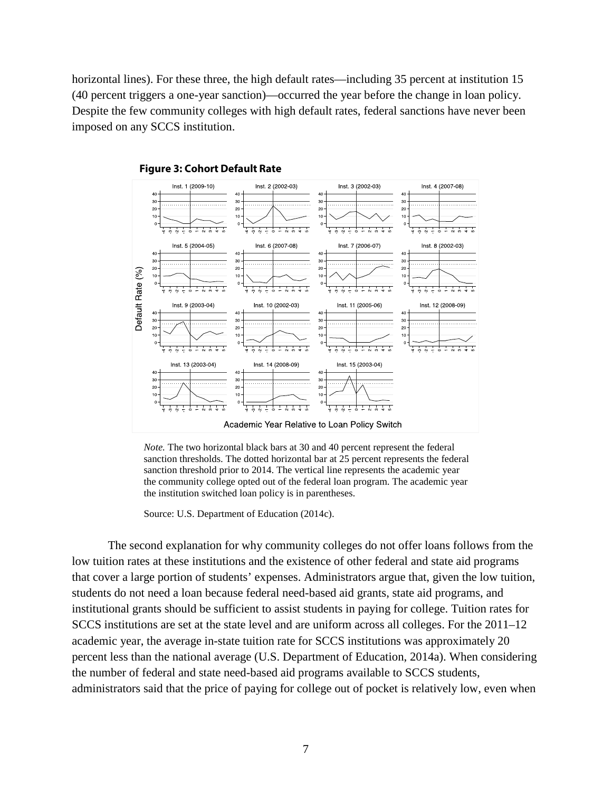horizontal lines). For these three, the high default rates—including 35 percent at institution 15 (40 percent triggers a one-year sanction)—occurred the year before the change in loan policy. Despite the few community colleges with high default rates, federal sanctions have never been imposed on any SCCS institution.



#### **Figure 3: Cohort Default Rate**

*Note.* The two horizontal black bars at 30 and 40 percent represent the federal sanction thresholds. The dotted horizontal bar at 25 percent represents the federal sanction threshold prior to 2014. The vertical line represents the academic year the community college opted out of the federal loan program. The academic year the institution switched loan policy is in parentheses.

Source: U.S. Department of Education (2014c).

The second explanation for why community colleges do not offer loans follows from the low tuition rates at these institutions and the existence of other federal and state aid programs that cover a large portion of students' expenses. Administrators argue that, given the low tuition, students do not need a loan because federal need-based aid grants, state aid programs, and institutional grants should be sufficient to assist students in paying for college. Tuition rates for SCCS institutions are set at the state level and are uniform across all colleges. For the 2011–12 academic year, the average in-state tuition rate for SCCS institutions was approximately 20 percent less than the national average (U.S. Department of Education, 2014a). When considering the number of federal and state need-based aid programs available to SCCS students, administrators said that the price of paying for college out of pocket is relatively low, even when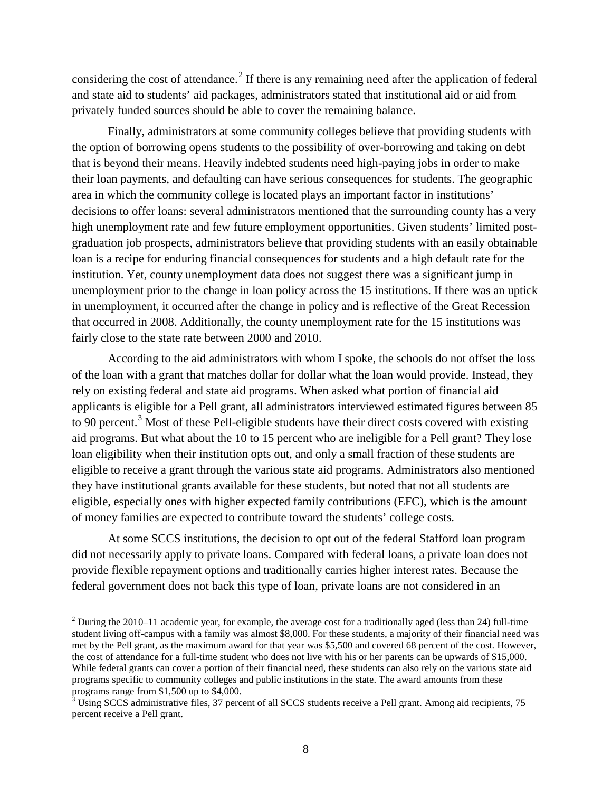considering the cost of attendance.<sup>[2](#page-11-0)</sup> If there is any remaining need after the application of federal and state aid to students' aid packages, administrators stated that institutional aid or aid from privately funded sources should be able to cover the remaining balance.

Finally, administrators at some community colleges believe that providing students with the option of borrowing opens students to the possibility of over-borrowing and taking on debt that is beyond their means. Heavily indebted students need high-paying jobs in order to make their loan payments, and defaulting can have serious consequences for students. The geographic area in which the community college is located plays an important factor in institutions' decisions to offer loans: several administrators mentioned that the surrounding county has a very high unemployment rate and few future employment opportunities. Given students' limited postgraduation job prospects, administrators believe that providing students with an easily obtainable loan is a recipe for enduring financial consequences for students and a high default rate for the institution. Yet, county unemployment data does not suggest there was a significant jump in unemployment prior to the change in loan policy across the 15 institutions. If there was an uptick in unemployment, it occurred after the change in policy and is reflective of the Great Recession that occurred in 2008. Additionally, the county unemployment rate for the 15 institutions was fairly close to the state rate between 2000 and 2010.

According to the aid administrators with whom I spoke, the schools do not offset the loss of the loan with a grant that matches dollar for dollar what the loan would provide. Instead, they rely on existing federal and state aid programs. When asked what portion of financial aid applicants is eligible for a Pell grant, all administrators interviewed estimated figures between 85 to 90 percent.<sup>[3](#page-11-1)</sup> Most of these Pell-eligible students have their direct costs covered with existing aid programs. But what about the 10 to 15 percent who are ineligible for a Pell grant? They lose loan eligibility when their institution opts out, and only a small fraction of these students are eligible to receive a grant through the various state aid programs. Administrators also mentioned they have institutional grants available for these students, but noted that not all students are eligible, especially ones with higher expected family contributions (EFC), which is the amount of money families are expected to contribute toward the students' college costs.

At some SCCS institutions, the decision to opt out of the federal Stafford loan program did not necessarily apply to private loans. Compared with federal loans, a private loan does not provide flexible repayment options and traditionally carries higher interest rates. Because the federal government does not back this type of loan, private loans are not considered in an

<span id="page-11-0"></span> $2$  During the 2010–11 academic year, for example, the average cost for a traditionally aged (less than 24) full-time student living off-campus with a family was almost \$8,000. For these students, a majority of their financial need was met by the Pell grant, as the maximum award for that year was \$5,500 and covered 68 percent of the cost. However, the cost of attendance for a full-time student who does not live with his or her parents can be upwards of \$15,000. While federal grants can cover a portion of their financial need, these students can also rely on the various state aid programs specific to community colleges and public institutions in the state. The award amounts from these programs range from \$1,500 up to \$4,000.

<span id="page-11-1"></span> $3$  Using SCCS administrative files, 37 percent of all SCCS students receive a Pell grant. Among aid recipients, 75 percent receive a Pell grant.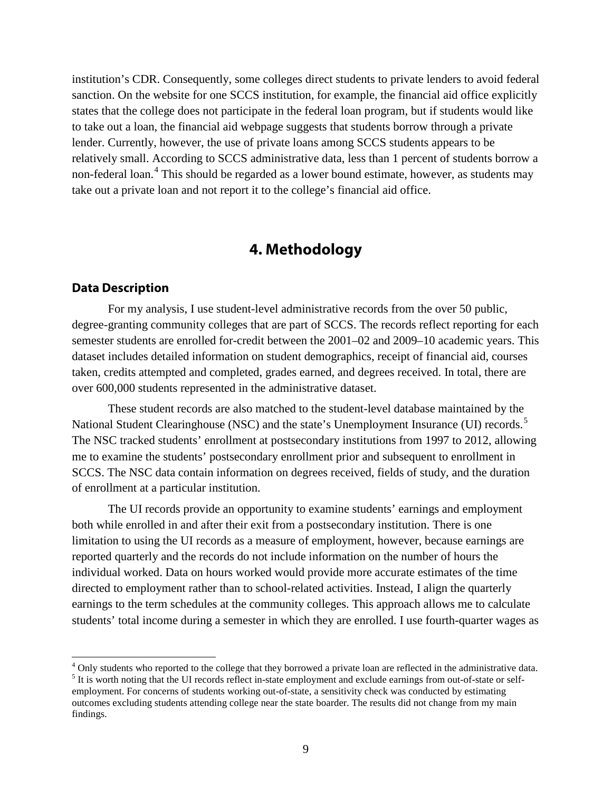institution's CDR. Consequently, some colleges direct students to private lenders to avoid federal sanction. On the website for one SCCS institution, for example, the financial aid office explicitly states that the college does not participate in the federal loan program, but if students would like to take out a loan, the financial aid webpage suggests that students borrow through a private lender. Currently, however, the use of private loans among SCCS students appears to be relatively small. According to SCCS administrative data, less than 1 percent of students borrow a non-federal loan.<sup>[4](#page-12-2)</sup> This should be regarded as a lower bound estimate, however, as students may take out a private loan and not report it to the college's financial aid office.

## **4. Methodology**

#### <span id="page-12-1"></span><span id="page-12-0"></span>**Data Description**

For my analysis, I use student-level administrative records from the over 50 public, degree-granting community colleges that are part of SCCS. The records reflect reporting for each semester students are enrolled for-credit between the 2001–02 and 2009–10 academic years. This dataset includes detailed information on student demographics, receipt of financial aid, courses taken, credits attempted and completed, grades earned, and degrees received. In total, there are over 600,000 students represented in the administrative dataset.

These student records are also matched to the student-level database maintained by the National Student Clearinghouse (NSC) and the state's Unemployment Insurance (UI) records.<sup>[5](#page-12-3)</sup> The NSC tracked students' enrollment at postsecondary institutions from 1997 to 2012, allowing me to examine the students' postsecondary enrollment prior and subsequent to enrollment in SCCS. The NSC data contain information on degrees received, fields of study, and the duration of enrollment at a particular institution.

The UI records provide an opportunity to examine students' earnings and employment both while enrolled in and after their exit from a postsecondary institution. There is one limitation to using the UI records as a measure of employment, however, because earnings are reported quarterly and the records do not include information on the number of hours the individual worked. Data on hours worked would provide more accurate estimates of the time directed to employment rather than to school-related activities. Instead, I align the quarterly earnings to the term schedules at the community colleges. This approach allows me to calculate students' total income during a semester in which they are enrolled. I use fourth-quarter wages as

<span id="page-12-2"></span><sup>&</sup>lt;sup>4</sup> Only students who reported to the college that they borrowed a private loan are reflected in the administrative data.

<span id="page-12-3"></span><sup>&</sup>lt;sup>5</sup> It is worth noting that the UI records reflect in-state employment and exclude earnings from out-of-state or selfemployment. For concerns of students working out-of-state, a sensitivity check was conducted by estimating outcomes excluding students attending college near the state boarder. The results did not change from my main findings.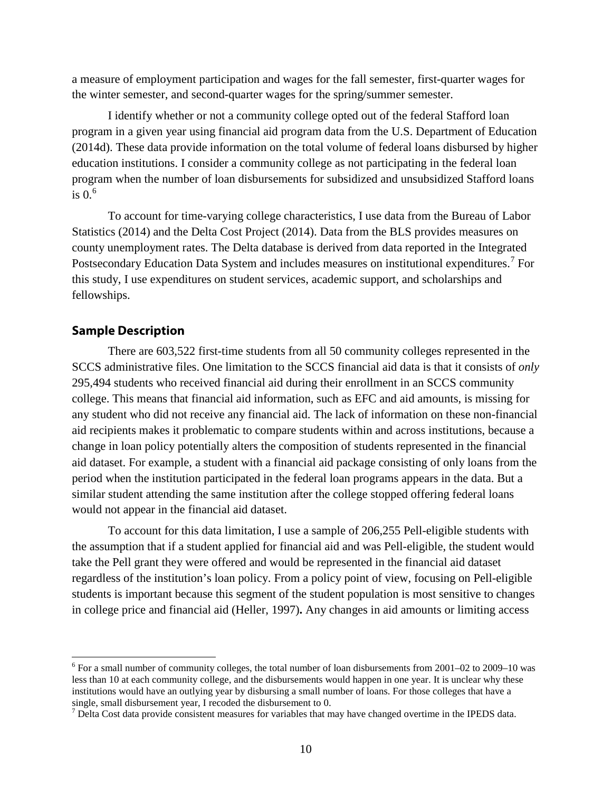a measure of employment participation and wages for the fall semester, first-quarter wages for the winter semester, and second-quarter wages for the spring/summer semester.

I identify whether or not a community college opted out of the federal Stafford loan program in a given year using financial aid program data from the U.S. Department of Education (2014d). These data provide information on the total volume of federal loans disbursed by higher education institutions. I consider a community college as not participating in the federal loan program when the number of loan disbursements for subsidized and unsubsidized Stafford loans is  $0.6$  $0.6$ 

To account for time-varying college characteristics, I use data from the Bureau of Labor Statistics (2014) and the Delta Cost Project (2014). Data from the BLS provides measures on county unemployment rates. The Delta database is derived from data reported in the Integrated Postsecondary Education Data System and includes measures on institutional expenditures.<sup>[7](#page-13-2)</sup> For this study, I use expenditures on student services, academic support, and scholarships and fellowships.

#### <span id="page-13-0"></span>**Sample Description**

There are 603,522 first-time students from all 50 community colleges represented in the SCCS administrative files. One limitation to the SCCS financial aid data is that it consists of *only* 295,494 students who received financial aid during their enrollment in an SCCS community college. This means that financial aid information, such as EFC and aid amounts, is missing for any student who did not receive any financial aid. The lack of information on these non-financial aid recipients makes it problematic to compare students within and across institutions, because a change in loan policy potentially alters the composition of students represented in the financial aid dataset. For example, a student with a financial aid package consisting of only loans from the period when the institution participated in the federal loan programs appears in the data. But a similar student attending the same institution after the college stopped offering federal loans would not appear in the financial aid dataset.

To account for this data limitation, I use a sample of 206,255 Pell-eligible students with the assumption that if a student applied for financial aid and was Pell-eligible, the student would take the Pell grant they were offered and would be represented in the financial aid dataset regardless of the institution's loan policy. From a policy point of view, focusing on Pell-eligible students is important because this segment of the student population is most sensitive to changes in college price and financial aid (Heller, 1997)**.** Any changes in aid amounts or limiting access

<span id="page-13-1"></span><sup>&</sup>lt;sup>6</sup> For a small number of community colleges, the total number of loan disbursements from 2001–02 to 2009–10 was less than 10 at each community college, and the disbursements would happen in one year. It is unclear why these institutions would have an outlying year by disbursing a small number of loans. For those colleges that have a single, small disbursement year, I recoded the disbursement to 0.

<span id="page-13-2"></span> $\frac{1}{2}$  Delta Cost data provide consistent measures for variables that may have changed overtime in the IPEDS data.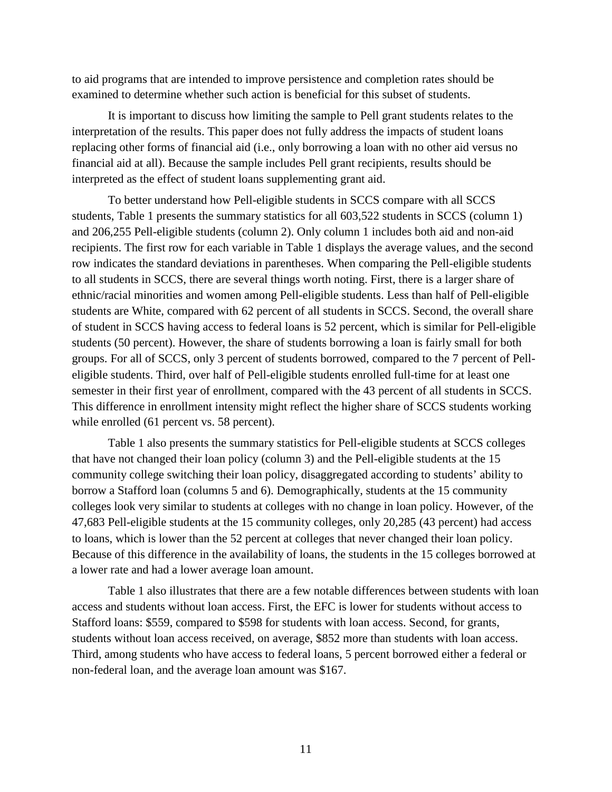to aid programs that are intended to improve persistence and completion rates should be examined to determine whether such action is beneficial for this subset of students.

It is important to discuss how limiting the sample to Pell grant students relates to the interpretation of the results. This paper does not fully address the impacts of student loans replacing other forms of financial aid (i.e., only borrowing a loan with no other aid versus no financial aid at all). Because the sample includes Pell grant recipients, results should be interpreted as the effect of student loans supplementing grant aid.

To better understand how Pell-eligible students in SCCS compare with all SCCS students, Table 1 presents the summary statistics for all 603,522 students in SCCS (column 1) and 206,255 Pell-eligible students (column 2). Only column 1 includes both aid and non-aid recipients. The first row for each variable in Table 1 displays the average values, and the second row indicates the standard deviations in parentheses. When comparing the Pell-eligible students to all students in SCCS, there are several things worth noting. First, there is a larger share of ethnic/racial minorities and women among Pell-eligible students. Less than half of Pell-eligible students are White, compared with 62 percent of all students in SCCS. Second, the overall share of student in SCCS having access to federal loans is 52 percent, which is similar for Pell-eligible students (50 percent). However, the share of students borrowing a loan is fairly small for both groups. For all of SCCS, only 3 percent of students borrowed, compared to the 7 percent of Pelleligible students. Third, over half of Pell-eligible students enrolled full-time for at least one semester in their first year of enrollment, compared with the 43 percent of all students in SCCS. This difference in enrollment intensity might reflect the higher share of SCCS students working while enrolled (61 percent vs. 58 percent).

Table 1 also presents the summary statistics for Pell-eligible students at SCCS colleges that have not changed their loan policy (column 3) and the Pell-eligible students at the 15 community college switching their loan policy, disaggregated according to students' ability to borrow a Stafford loan (columns 5 and 6). Demographically, students at the 15 community colleges look very similar to students at colleges with no change in loan policy. However, of the 47,683 Pell-eligible students at the 15 community colleges, only 20,285 (43 percent) had access to loans, which is lower than the 52 percent at colleges that never changed their loan policy. Because of this difference in the availability of loans, the students in the 15 colleges borrowed at a lower rate and had a lower average loan amount.

Table 1 also illustrates that there are a few notable differences between students with loan access and students without loan access. First, the EFC is lower for students without access to Stafford loans: \$559, compared to \$598 for students with loan access. Second, for grants, students without loan access received, on average, \$852 more than students with loan access. Third, among students who have access to federal loans, 5 percent borrowed either a federal or non-federal loan, and the average loan amount was \$167.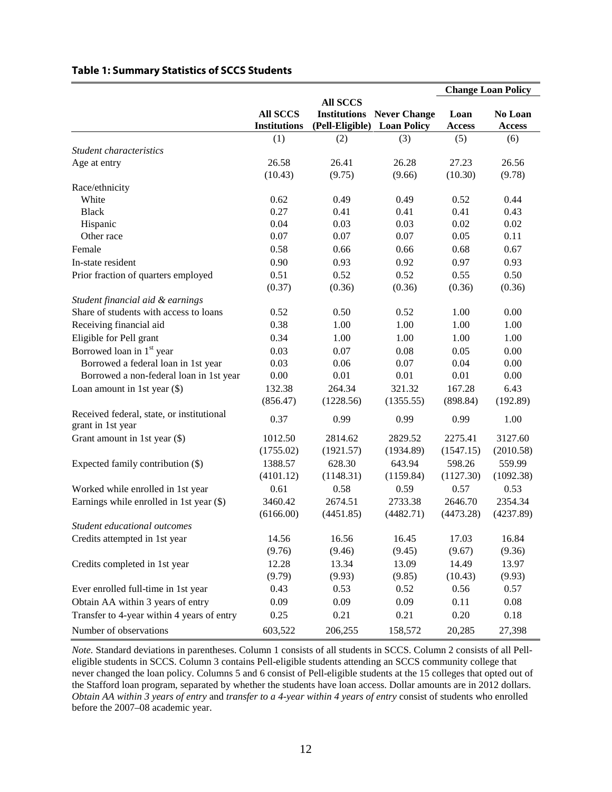#### **Table 1: Summary Statistics of SCCS Students**

| <b>All SCCS</b><br><b>All SCCS</b><br><b>Institutions</b><br><b>Never Change</b><br>Loan<br>No Loan<br><b>Institutions</b><br>(Pell-Eligible)<br><b>Loan Policy</b><br><b>Access</b><br><b>Access</b><br>(1)<br>(2)<br>(3)<br>(5)<br>(6)<br>Student characteristics<br>27.23<br>26.56<br>Age at entry<br>26.58<br>26.41<br>26.28<br>(9.75)<br>(10.30)<br>(10.43)<br>(9.66)<br>(9.78)<br>Race/ethnicity<br>White<br>0.52<br>0.44<br>0.62<br>0.49<br>0.49<br>0.27<br><b>Black</b><br>0.41<br>0.41<br>0.41<br>0.43<br>0.04<br>0.03<br>0.03<br>0.02<br>0.02<br>Hispanic<br>0.07<br>Other race<br>0.07<br>0.07<br>0.05<br>0.11<br>Female<br>0.58<br>0.66<br>0.66<br>0.68<br>0.67<br>0.90<br>0.97<br>0.93<br>0.92<br>0.93<br>In-state resident<br>0.55<br>Prior fraction of quarters employed<br>0.51<br>0.52<br>0.52<br>0.50<br>(0.37)<br>(0.36)<br>(0.36)<br>(0.36)<br>(0.36)<br>Student financial aid & earnings<br>Share of students with access to loans<br>0.52<br>0.50<br>0.52<br>1.00<br>0.00<br>Receiving financial aid<br>0.38<br>1.00<br>1.00<br>1.00<br>1.00<br>Eligible for Pell grant<br>0.34<br>1.00<br>1.00<br>1.00<br>1.00<br>Borrowed loan in 1 <sup>st</sup> year<br>0.03<br>0.07<br>0.08<br>0.05<br>0.00<br>Borrowed a federal loan in 1st year<br>0.03<br>0.06<br>0.07<br>0.04<br>0.00<br>0.01<br>Borrowed a non-federal loan in 1st year<br>0.00<br>0.01<br>0.01<br>0.00<br>132.38<br>264.34<br>321.32<br>167.28<br>6.43<br>Loan amount in 1st year $(\$)$<br>(192.89)<br>(856.47)<br>(1228.56)<br>(1355.55)<br>(898.84)<br>Received federal, state, or institutional<br>0.99<br>1.00<br>0.37<br>0.99<br>0.99<br>grant in 1st year<br>Grant amount in 1st year (\$)<br>1012.50<br>2814.62<br>2829.52<br>2275.41<br>3127.60<br>(1755.02)<br>(1921.57)<br>(1934.89)<br>(1547.15)<br>(2010.58)<br>Expected family contribution (\$)<br>1388.57<br>628.30<br>643.94<br>598.26<br>559.99<br>(1127.30)<br>(4101.12)<br>(1148.31)<br>(1159.84)<br>(1092.38)<br>0.58<br>0.59<br>0.57<br>0.53<br>Worked while enrolled in 1st year<br>0.61<br>Earnings while enrolled in 1st year (\$)<br>3460.42<br>2674.51<br>2646.70<br>2354.34<br>2733.38<br>(4237.89)<br>(6166.00)<br>(4451.85)<br>(4482.71)<br>(4473.28)<br>Student educational outcomes<br>14.56<br>16.56<br>16.45<br>17.03<br>16.84<br>Credits attempted in 1st year<br>(9.46)<br>(9.45)<br>(9.76)<br>(9.67)<br>(9.36)<br>Credits completed in 1st year<br>13.34<br>13.09<br>14.49<br>13.97<br>12.28<br>(9.79)<br>(9.93)<br>(9.85)<br>(10.43)<br>(9.93)<br>Ever enrolled full-time in 1st year<br>0.43<br>0.53<br>0.52<br>0.56<br>0.57<br>Obtain AA within 3 years of entry<br>0.09<br>0.09<br>0.09<br>0.11<br>$0.08\,$<br>Transfer to 4-year within 4 years of entry<br>0.25<br>0.21<br>0.21<br>0.20<br>0.18 |                        |         |         |         |        | <b>Change Loan Policy</b> |
|------------------------------------------------------------------------------------------------------------------------------------------------------------------------------------------------------------------------------------------------------------------------------------------------------------------------------------------------------------------------------------------------------------------------------------------------------------------------------------------------------------------------------------------------------------------------------------------------------------------------------------------------------------------------------------------------------------------------------------------------------------------------------------------------------------------------------------------------------------------------------------------------------------------------------------------------------------------------------------------------------------------------------------------------------------------------------------------------------------------------------------------------------------------------------------------------------------------------------------------------------------------------------------------------------------------------------------------------------------------------------------------------------------------------------------------------------------------------------------------------------------------------------------------------------------------------------------------------------------------------------------------------------------------------------------------------------------------------------------------------------------------------------------------------------------------------------------------------------------------------------------------------------------------------------------------------------------------------------------------------------------------------------------------------------------------------------------------------------------------------------------------------------------------------------------------------------------------------------------------------------------------------------------------------------------------------------------------------------------------------------------------------------------------------------------------------------------------------------------------------------------------------------------------------------------------------------------------------------------------------------------------------------------------------------------------------------------------------------------------------------------------------------|------------------------|---------|---------|---------|--------|---------------------------|
|                                                                                                                                                                                                                                                                                                                                                                                                                                                                                                                                                                                                                                                                                                                                                                                                                                                                                                                                                                                                                                                                                                                                                                                                                                                                                                                                                                                                                                                                                                                                                                                                                                                                                                                                                                                                                                                                                                                                                                                                                                                                                                                                                                                                                                                                                                                                                                                                                                                                                                                                                                                                                                                                                                                                                                              |                        |         |         |         |        |                           |
|                                                                                                                                                                                                                                                                                                                                                                                                                                                                                                                                                                                                                                                                                                                                                                                                                                                                                                                                                                                                                                                                                                                                                                                                                                                                                                                                                                                                                                                                                                                                                                                                                                                                                                                                                                                                                                                                                                                                                                                                                                                                                                                                                                                                                                                                                                                                                                                                                                                                                                                                                                                                                                                                                                                                                                              |                        |         |         |         |        |                           |
|                                                                                                                                                                                                                                                                                                                                                                                                                                                                                                                                                                                                                                                                                                                                                                                                                                                                                                                                                                                                                                                                                                                                                                                                                                                                                                                                                                                                                                                                                                                                                                                                                                                                                                                                                                                                                                                                                                                                                                                                                                                                                                                                                                                                                                                                                                                                                                                                                                                                                                                                                                                                                                                                                                                                                                              |                        |         |         |         |        |                           |
|                                                                                                                                                                                                                                                                                                                                                                                                                                                                                                                                                                                                                                                                                                                                                                                                                                                                                                                                                                                                                                                                                                                                                                                                                                                                                                                                                                                                                                                                                                                                                                                                                                                                                                                                                                                                                                                                                                                                                                                                                                                                                                                                                                                                                                                                                                                                                                                                                                                                                                                                                                                                                                                                                                                                                                              |                        |         |         |         |        |                           |
|                                                                                                                                                                                                                                                                                                                                                                                                                                                                                                                                                                                                                                                                                                                                                                                                                                                                                                                                                                                                                                                                                                                                                                                                                                                                                                                                                                                                                                                                                                                                                                                                                                                                                                                                                                                                                                                                                                                                                                                                                                                                                                                                                                                                                                                                                                                                                                                                                                                                                                                                                                                                                                                                                                                                                                              |                        |         |         |         |        |                           |
|                                                                                                                                                                                                                                                                                                                                                                                                                                                                                                                                                                                                                                                                                                                                                                                                                                                                                                                                                                                                                                                                                                                                                                                                                                                                                                                                                                                                                                                                                                                                                                                                                                                                                                                                                                                                                                                                                                                                                                                                                                                                                                                                                                                                                                                                                                                                                                                                                                                                                                                                                                                                                                                                                                                                                                              |                        |         |         |         |        |                           |
|                                                                                                                                                                                                                                                                                                                                                                                                                                                                                                                                                                                                                                                                                                                                                                                                                                                                                                                                                                                                                                                                                                                                                                                                                                                                                                                                                                                                                                                                                                                                                                                                                                                                                                                                                                                                                                                                                                                                                                                                                                                                                                                                                                                                                                                                                                                                                                                                                                                                                                                                                                                                                                                                                                                                                                              |                        |         |         |         |        |                           |
|                                                                                                                                                                                                                                                                                                                                                                                                                                                                                                                                                                                                                                                                                                                                                                                                                                                                                                                                                                                                                                                                                                                                                                                                                                                                                                                                                                                                                                                                                                                                                                                                                                                                                                                                                                                                                                                                                                                                                                                                                                                                                                                                                                                                                                                                                                                                                                                                                                                                                                                                                                                                                                                                                                                                                                              |                        |         |         |         |        |                           |
|                                                                                                                                                                                                                                                                                                                                                                                                                                                                                                                                                                                                                                                                                                                                                                                                                                                                                                                                                                                                                                                                                                                                                                                                                                                                                                                                                                                                                                                                                                                                                                                                                                                                                                                                                                                                                                                                                                                                                                                                                                                                                                                                                                                                                                                                                                                                                                                                                                                                                                                                                                                                                                                                                                                                                                              |                        |         |         |         |        |                           |
|                                                                                                                                                                                                                                                                                                                                                                                                                                                                                                                                                                                                                                                                                                                                                                                                                                                                                                                                                                                                                                                                                                                                                                                                                                                                                                                                                                                                                                                                                                                                                                                                                                                                                                                                                                                                                                                                                                                                                                                                                                                                                                                                                                                                                                                                                                                                                                                                                                                                                                                                                                                                                                                                                                                                                                              |                        |         |         |         |        |                           |
|                                                                                                                                                                                                                                                                                                                                                                                                                                                                                                                                                                                                                                                                                                                                                                                                                                                                                                                                                                                                                                                                                                                                                                                                                                                                                                                                                                                                                                                                                                                                                                                                                                                                                                                                                                                                                                                                                                                                                                                                                                                                                                                                                                                                                                                                                                                                                                                                                                                                                                                                                                                                                                                                                                                                                                              |                        |         |         |         |        |                           |
|                                                                                                                                                                                                                                                                                                                                                                                                                                                                                                                                                                                                                                                                                                                                                                                                                                                                                                                                                                                                                                                                                                                                                                                                                                                                                                                                                                                                                                                                                                                                                                                                                                                                                                                                                                                                                                                                                                                                                                                                                                                                                                                                                                                                                                                                                                                                                                                                                                                                                                                                                                                                                                                                                                                                                                              |                        |         |         |         |        |                           |
|                                                                                                                                                                                                                                                                                                                                                                                                                                                                                                                                                                                                                                                                                                                                                                                                                                                                                                                                                                                                                                                                                                                                                                                                                                                                                                                                                                                                                                                                                                                                                                                                                                                                                                                                                                                                                                                                                                                                                                                                                                                                                                                                                                                                                                                                                                                                                                                                                                                                                                                                                                                                                                                                                                                                                                              |                        |         |         |         |        |                           |
|                                                                                                                                                                                                                                                                                                                                                                                                                                                                                                                                                                                                                                                                                                                                                                                                                                                                                                                                                                                                                                                                                                                                                                                                                                                                                                                                                                                                                                                                                                                                                                                                                                                                                                                                                                                                                                                                                                                                                                                                                                                                                                                                                                                                                                                                                                                                                                                                                                                                                                                                                                                                                                                                                                                                                                              |                        |         |         |         |        |                           |
|                                                                                                                                                                                                                                                                                                                                                                                                                                                                                                                                                                                                                                                                                                                                                                                                                                                                                                                                                                                                                                                                                                                                                                                                                                                                                                                                                                                                                                                                                                                                                                                                                                                                                                                                                                                                                                                                                                                                                                                                                                                                                                                                                                                                                                                                                                                                                                                                                                                                                                                                                                                                                                                                                                                                                                              |                        |         |         |         |        |                           |
|                                                                                                                                                                                                                                                                                                                                                                                                                                                                                                                                                                                                                                                                                                                                                                                                                                                                                                                                                                                                                                                                                                                                                                                                                                                                                                                                                                                                                                                                                                                                                                                                                                                                                                                                                                                                                                                                                                                                                                                                                                                                                                                                                                                                                                                                                                                                                                                                                                                                                                                                                                                                                                                                                                                                                                              |                        |         |         |         |        |                           |
|                                                                                                                                                                                                                                                                                                                                                                                                                                                                                                                                                                                                                                                                                                                                                                                                                                                                                                                                                                                                                                                                                                                                                                                                                                                                                                                                                                                                                                                                                                                                                                                                                                                                                                                                                                                                                                                                                                                                                                                                                                                                                                                                                                                                                                                                                                                                                                                                                                                                                                                                                                                                                                                                                                                                                                              |                        |         |         |         |        |                           |
|                                                                                                                                                                                                                                                                                                                                                                                                                                                                                                                                                                                                                                                                                                                                                                                                                                                                                                                                                                                                                                                                                                                                                                                                                                                                                                                                                                                                                                                                                                                                                                                                                                                                                                                                                                                                                                                                                                                                                                                                                                                                                                                                                                                                                                                                                                                                                                                                                                                                                                                                                                                                                                                                                                                                                                              |                        |         |         |         |        |                           |
|                                                                                                                                                                                                                                                                                                                                                                                                                                                                                                                                                                                                                                                                                                                                                                                                                                                                                                                                                                                                                                                                                                                                                                                                                                                                                                                                                                                                                                                                                                                                                                                                                                                                                                                                                                                                                                                                                                                                                                                                                                                                                                                                                                                                                                                                                                                                                                                                                                                                                                                                                                                                                                                                                                                                                                              |                        |         |         |         |        |                           |
|                                                                                                                                                                                                                                                                                                                                                                                                                                                                                                                                                                                                                                                                                                                                                                                                                                                                                                                                                                                                                                                                                                                                                                                                                                                                                                                                                                                                                                                                                                                                                                                                                                                                                                                                                                                                                                                                                                                                                                                                                                                                                                                                                                                                                                                                                                                                                                                                                                                                                                                                                                                                                                                                                                                                                                              |                        |         |         |         |        |                           |
|                                                                                                                                                                                                                                                                                                                                                                                                                                                                                                                                                                                                                                                                                                                                                                                                                                                                                                                                                                                                                                                                                                                                                                                                                                                                                                                                                                                                                                                                                                                                                                                                                                                                                                                                                                                                                                                                                                                                                                                                                                                                                                                                                                                                                                                                                                                                                                                                                                                                                                                                                                                                                                                                                                                                                                              |                        |         |         |         |        |                           |
|                                                                                                                                                                                                                                                                                                                                                                                                                                                                                                                                                                                                                                                                                                                                                                                                                                                                                                                                                                                                                                                                                                                                                                                                                                                                                                                                                                                                                                                                                                                                                                                                                                                                                                                                                                                                                                                                                                                                                                                                                                                                                                                                                                                                                                                                                                                                                                                                                                                                                                                                                                                                                                                                                                                                                                              |                        |         |         |         |        |                           |
|                                                                                                                                                                                                                                                                                                                                                                                                                                                                                                                                                                                                                                                                                                                                                                                                                                                                                                                                                                                                                                                                                                                                                                                                                                                                                                                                                                                                                                                                                                                                                                                                                                                                                                                                                                                                                                                                                                                                                                                                                                                                                                                                                                                                                                                                                                                                                                                                                                                                                                                                                                                                                                                                                                                                                                              |                        |         |         |         |        |                           |
|                                                                                                                                                                                                                                                                                                                                                                                                                                                                                                                                                                                                                                                                                                                                                                                                                                                                                                                                                                                                                                                                                                                                                                                                                                                                                                                                                                                                                                                                                                                                                                                                                                                                                                                                                                                                                                                                                                                                                                                                                                                                                                                                                                                                                                                                                                                                                                                                                                                                                                                                                                                                                                                                                                                                                                              |                        |         |         |         |        |                           |
|                                                                                                                                                                                                                                                                                                                                                                                                                                                                                                                                                                                                                                                                                                                                                                                                                                                                                                                                                                                                                                                                                                                                                                                                                                                                                                                                                                                                                                                                                                                                                                                                                                                                                                                                                                                                                                                                                                                                                                                                                                                                                                                                                                                                                                                                                                                                                                                                                                                                                                                                                                                                                                                                                                                                                                              |                        |         |         |         |        |                           |
|                                                                                                                                                                                                                                                                                                                                                                                                                                                                                                                                                                                                                                                                                                                                                                                                                                                                                                                                                                                                                                                                                                                                                                                                                                                                                                                                                                                                                                                                                                                                                                                                                                                                                                                                                                                                                                                                                                                                                                                                                                                                                                                                                                                                                                                                                                                                                                                                                                                                                                                                                                                                                                                                                                                                                                              |                        |         |         |         |        |                           |
|                                                                                                                                                                                                                                                                                                                                                                                                                                                                                                                                                                                                                                                                                                                                                                                                                                                                                                                                                                                                                                                                                                                                                                                                                                                                                                                                                                                                                                                                                                                                                                                                                                                                                                                                                                                                                                                                                                                                                                                                                                                                                                                                                                                                                                                                                                                                                                                                                                                                                                                                                                                                                                                                                                                                                                              |                        |         |         |         |        |                           |
|                                                                                                                                                                                                                                                                                                                                                                                                                                                                                                                                                                                                                                                                                                                                                                                                                                                                                                                                                                                                                                                                                                                                                                                                                                                                                                                                                                                                                                                                                                                                                                                                                                                                                                                                                                                                                                                                                                                                                                                                                                                                                                                                                                                                                                                                                                                                                                                                                                                                                                                                                                                                                                                                                                                                                                              |                        |         |         |         |        |                           |
|                                                                                                                                                                                                                                                                                                                                                                                                                                                                                                                                                                                                                                                                                                                                                                                                                                                                                                                                                                                                                                                                                                                                                                                                                                                                                                                                                                                                                                                                                                                                                                                                                                                                                                                                                                                                                                                                                                                                                                                                                                                                                                                                                                                                                                                                                                                                                                                                                                                                                                                                                                                                                                                                                                                                                                              |                        |         |         |         |        |                           |
|                                                                                                                                                                                                                                                                                                                                                                                                                                                                                                                                                                                                                                                                                                                                                                                                                                                                                                                                                                                                                                                                                                                                                                                                                                                                                                                                                                                                                                                                                                                                                                                                                                                                                                                                                                                                                                                                                                                                                                                                                                                                                                                                                                                                                                                                                                                                                                                                                                                                                                                                                                                                                                                                                                                                                                              |                        |         |         |         |        |                           |
|                                                                                                                                                                                                                                                                                                                                                                                                                                                                                                                                                                                                                                                                                                                                                                                                                                                                                                                                                                                                                                                                                                                                                                                                                                                                                                                                                                                                                                                                                                                                                                                                                                                                                                                                                                                                                                                                                                                                                                                                                                                                                                                                                                                                                                                                                                                                                                                                                                                                                                                                                                                                                                                                                                                                                                              |                        |         |         |         |        |                           |
|                                                                                                                                                                                                                                                                                                                                                                                                                                                                                                                                                                                                                                                                                                                                                                                                                                                                                                                                                                                                                                                                                                                                                                                                                                                                                                                                                                                                                                                                                                                                                                                                                                                                                                                                                                                                                                                                                                                                                                                                                                                                                                                                                                                                                                                                                                                                                                                                                                                                                                                                                                                                                                                                                                                                                                              |                        |         |         |         |        |                           |
|                                                                                                                                                                                                                                                                                                                                                                                                                                                                                                                                                                                                                                                                                                                                                                                                                                                                                                                                                                                                                                                                                                                                                                                                                                                                                                                                                                                                                                                                                                                                                                                                                                                                                                                                                                                                                                                                                                                                                                                                                                                                                                                                                                                                                                                                                                                                                                                                                                                                                                                                                                                                                                                                                                                                                                              |                        |         |         |         |        |                           |
|                                                                                                                                                                                                                                                                                                                                                                                                                                                                                                                                                                                                                                                                                                                                                                                                                                                                                                                                                                                                                                                                                                                                                                                                                                                                                                                                                                                                                                                                                                                                                                                                                                                                                                                                                                                                                                                                                                                                                                                                                                                                                                                                                                                                                                                                                                                                                                                                                                                                                                                                                                                                                                                                                                                                                                              |                        |         |         |         |        |                           |
|                                                                                                                                                                                                                                                                                                                                                                                                                                                                                                                                                                                                                                                                                                                                                                                                                                                                                                                                                                                                                                                                                                                                                                                                                                                                                                                                                                                                                                                                                                                                                                                                                                                                                                                                                                                                                                                                                                                                                                                                                                                                                                                                                                                                                                                                                                                                                                                                                                                                                                                                                                                                                                                                                                                                                                              |                        |         |         |         |        |                           |
|                                                                                                                                                                                                                                                                                                                                                                                                                                                                                                                                                                                                                                                                                                                                                                                                                                                                                                                                                                                                                                                                                                                                                                                                                                                                                                                                                                                                                                                                                                                                                                                                                                                                                                                                                                                                                                                                                                                                                                                                                                                                                                                                                                                                                                                                                                                                                                                                                                                                                                                                                                                                                                                                                                                                                                              |                        |         |         |         |        |                           |
|                                                                                                                                                                                                                                                                                                                                                                                                                                                                                                                                                                                                                                                                                                                                                                                                                                                                                                                                                                                                                                                                                                                                                                                                                                                                                                                                                                                                                                                                                                                                                                                                                                                                                                                                                                                                                                                                                                                                                                                                                                                                                                                                                                                                                                                                                                                                                                                                                                                                                                                                                                                                                                                                                                                                                                              |                        |         |         |         |        |                           |
|                                                                                                                                                                                                                                                                                                                                                                                                                                                                                                                                                                                                                                                                                                                                                                                                                                                                                                                                                                                                                                                                                                                                                                                                                                                                                                                                                                                                                                                                                                                                                                                                                                                                                                                                                                                                                                                                                                                                                                                                                                                                                                                                                                                                                                                                                                                                                                                                                                                                                                                                                                                                                                                                                                                                                                              |                        |         |         |         |        |                           |
|                                                                                                                                                                                                                                                                                                                                                                                                                                                                                                                                                                                                                                                                                                                                                                                                                                                                                                                                                                                                                                                                                                                                                                                                                                                                                                                                                                                                                                                                                                                                                                                                                                                                                                                                                                                                                                                                                                                                                                                                                                                                                                                                                                                                                                                                                                                                                                                                                                                                                                                                                                                                                                                                                                                                                                              |                        |         |         |         |        |                           |
|                                                                                                                                                                                                                                                                                                                                                                                                                                                                                                                                                                                                                                                                                                                                                                                                                                                                                                                                                                                                                                                                                                                                                                                                                                                                                                                                                                                                                                                                                                                                                                                                                                                                                                                                                                                                                                                                                                                                                                                                                                                                                                                                                                                                                                                                                                                                                                                                                                                                                                                                                                                                                                                                                                                                                                              |                        |         |         |         |        |                           |
|                                                                                                                                                                                                                                                                                                                                                                                                                                                                                                                                                                                                                                                                                                                                                                                                                                                                                                                                                                                                                                                                                                                                                                                                                                                                                                                                                                                                                                                                                                                                                                                                                                                                                                                                                                                                                                                                                                                                                                                                                                                                                                                                                                                                                                                                                                                                                                                                                                                                                                                                                                                                                                                                                                                                                                              |                        |         |         |         |        |                           |
|                                                                                                                                                                                                                                                                                                                                                                                                                                                                                                                                                                                                                                                                                                                                                                                                                                                                                                                                                                                                                                                                                                                                                                                                                                                                                                                                                                                                                                                                                                                                                                                                                                                                                                                                                                                                                                                                                                                                                                                                                                                                                                                                                                                                                                                                                                                                                                                                                                                                                                                                                                                                                                                                                                                                                                              | Number of observations | 603,522 | 206,255 | 158,572 | 20,285 | 27,398                    |

*Note.* Standard deviations in parentheses. Column 1 consists of all students in SCCS. Column 2 consists of all Pelleligible students in SCCS. Column 3 contains Pell-eligible students attending an SCCS community college that never changed the loan policy. Columns 5 and 6 consist of Pell-eligible students at the 15 colleges that opted out of the Stafford loan program, separated by whether the students have loan access. Dollar amounts are in 2012 dollars. *Obtain AA within 3 years of entry* and *transfer to a 4-year within 4 years of entry* consist of students who enrolled before the 2007–08 academic year.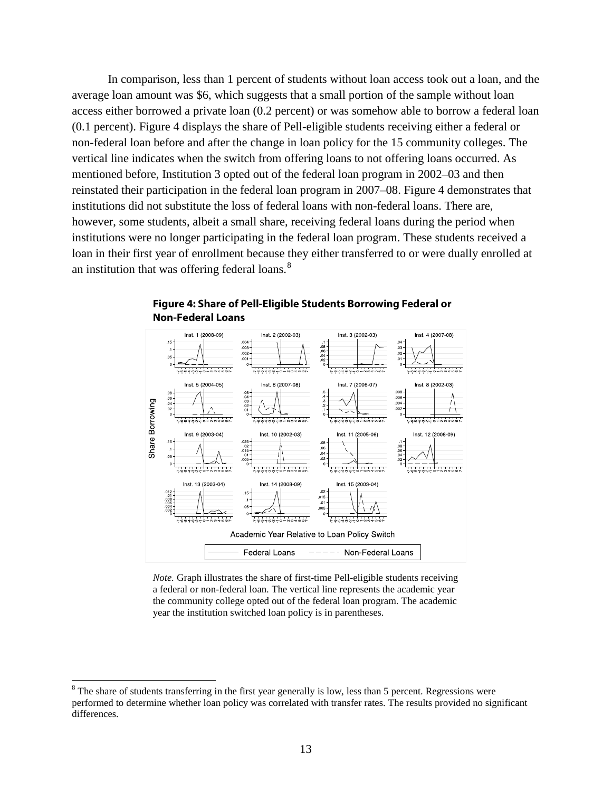In comparison, less than 1 percent of students without loan access took out a loan, and the average loan amount was \$6, which suggests that a small portion of the sample without loan access either borrowed a private loan (0.2 percent) or was somehow able to borrow a federal loan (0.1 percent). Figure 4 displays the share of Pell-eligible students receiving either a federal or non-federal loan before and after the change in loan policy for the 15 community colleges. The vertical line indicates when the switch from offering loans to not offering loans occurred. As mentioned before, Institution 3 opted out of the federal loan program in 2002–03 and then reinstated their participation in the federal loan program in 2007–08. Figure 4 demonstrates that institutions did not substitute the loss of federal loans with non-federal loans. There are, however, some students, albeit a small share, receiving federal loans during the period when institutions were no longer participating in the federal loan program. These students received a loan in their first year of enrollment because they either transferred to or were dually enrolled at an institution that was offering federal loans.<sup>[8](#page-16-0)</sup>



**Figure 4: Share of Pell-Eligible Students Borrowing Federal or Non-Federal Loans**

*Note.* Graph illustrates the share of first-time Pell-eligible students receiving a federal or non-federal loan. The vertical line represents the academic year the community college opted out of the federal loan program. The academic year the institution switched loan policy is in parentheses.

<span id="page-16-0"></span><sup>&</sup>lt;sup>8</sup> The share of students transferring in the first year generally is low, less than 5 percent. Regressions were performed to determine whether loan policy was correlated with transfer rates. The results provided no significant differences.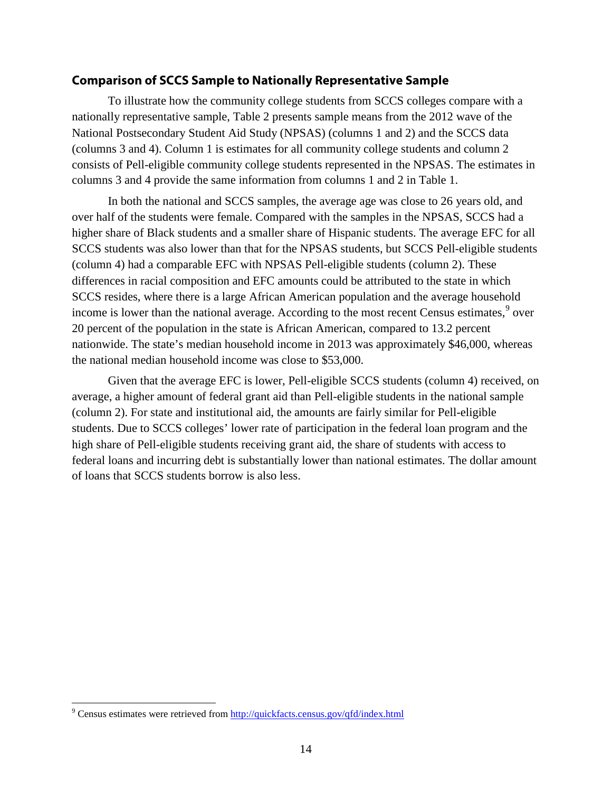#### <span id="page-17-0"></span>**Comparison of SCCS Sample to Nationally Representative Sample**

To illustrate how the community college students from SCCS colleges compare with a nationally representative sample, Table 2 presents sample means from the 2012 wave of the National Postsecondary Student Aid Study (NPSAS) (columns 1 and 2) and the SCCS data (columns 3 and 4). Column 1 is estimates for all community college students and column 2 consists of Pell-eligible community college students represented in the NPSAS. The estimates in columns 3 and 4 provide the same information from columns 1 and 2 in Table 1.

In both the national and SCCS samples, the average age was close to 26 years old, and over half of the students were female. Compared with the samples in the NPSAS, SCCS had a higher share of Black students and a smaller share of Hispanic students. The average EFC for all SCCS students was also lower than that for the NPSAS students, but SCCS Pell-eligible students (column 4) had a comparable EFC with NPSAS Pell-eligible students (column 2). These differences in racial composition and EFC amounts could be attributed to the state in which SCCS resides, where there is a large African American population and the average household income is lower than the national average. According to the most recent Census estimates,<sup>[9](#page-17-1)</sup> over 20 percent of the population in the state is African American, compared to 13.2 percent nationwide. The state's median household income in 2013 was approximately \$46,000, whereas the national median household income was close to \$53,000.

Given that the average EFC is lower, Pell-eligible SCCS students (column 4) received, on average, a higher amount of federal grant aid than Pell-eligible students in the national sample (column 2). For state and institutional aid, the amounts are fairly similar for Pell-eligible students. Due to SCCS colleges' lower rate of participation in the federal loan program and the high share of Pell-eligible students receiving grant aid, the share of students with access to federal loans and incurring debt is substantially lower than national estimates. The dollar amount of loans that SCCS students borrow is also less.

<span id="page-17-1"></span><sup>9</sup> Census estimates were retrieved from<http://quickfacts.census.gov/qfd/index.html>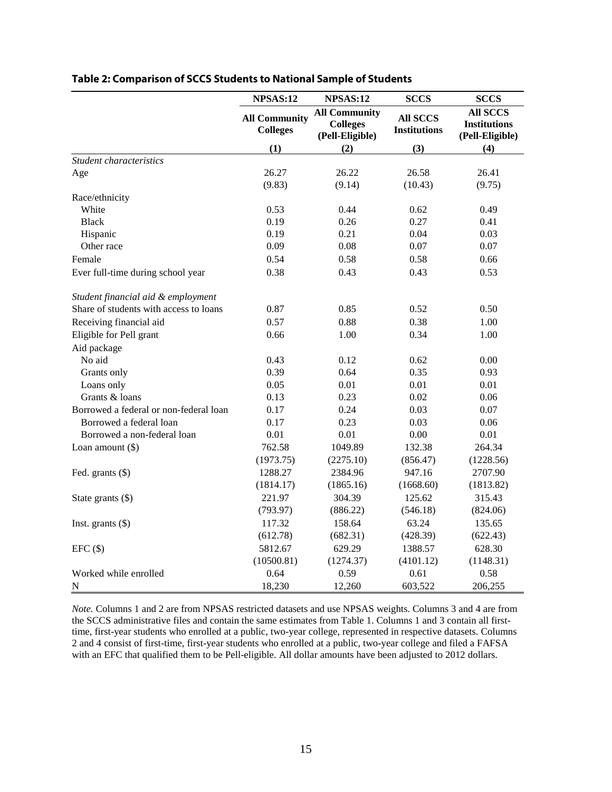|                                        | NPSAS:12                                | NPSAS:12                                                   | <b>SCCS</b>                            | <b>SCCS</b>                                               |
|----------------------------------------|-----------------------------------------|------------------------------------------------------------|----------------------------------------|-----------------------------------------------------------|
|                                        | <b>All Community</b><br><b>Colleges</b> | <b>All Community</b><br><b>Colleges</b><br>(Pell-Eligible) | <b>All SCCS</b><br><b>Institutions</b> | <b>All SCCS</b><br><b>Institutions</b><br>(Pell-Eligible) |
|                                        | (1)                                     | (2)                                                        | (3)                                    | (4)                                                       |
| Student characteristics                |                                         |                                                            |                                        |                                                           |
| Age                                    | 26.27                                   | 26.22                                                      | 26.58                                  | 26.41                                                     |
|                                        | (9.83)                                  | (9.14)                                                     | (10.43)                                | (9.75)                                                    |
| Race/ethnicity                         |                                         |                                                            |                                        |                                                           |
| White                                  | 0.53                                    | 0.44                                                       | 0.62                                   | 0.49                                                      |
| <b>Black</b>                           | 0.19                                    | 0.26                                                       | 0.27                                   | 0.41                                                      |
| Hispanic                               | 0.19                                    | 0.21                                                       | 0.04                                   | 0.03                                                      |
| Other race                             | 0.09                                    | 0.08                                                       | 0.07                                   | 0.07                                                      |
| Female                                 | 0.54                                    | 0.58                                                       | 0.58                                   | 0.66                                                      |
| Ever full-time during school year      | 0.38                                    | 0.43                                                       | 0.43                                   | 0.53                                                      |
| Student financial aid & employment     |                                         |                                                            |                                        |                                                           |
| Share of students with access to loans | 0.87                                    | 0.85                                                       | 0.52                                   | 0.50                                                      |
| Receiving financial aid                | 0.57                                    | 0.88                                                       | 0.38                                   | 1.00                                                      |
| Eligible for Pell grant                | 0.66                                    | 1.00                                                       | 0.34                                   | 1.00                                                      |
| Aid package                            |                                         |                                                            |                                        |                                                           |
| No aid                                 | 0.43                                    | 0.12                                                       | 0.62                                   | 0.00                                                      |
| Grants only                            | 0.39                                    | 0.64                                                       | 0.35                                   | 0.93                                                      |
| Loans only                             | 0.05                                    | 0.01                                                       | 0.01                                   | 0.01                                                      |
| Grants & loans                         | 0.13                                    | 0.23                                                       | 0.02                                   | 0.06                                                      |
| Borrowed a federal or non-federal loan | 0.17                                    | 0.24                                                       | 0.03                                   | 0.07                                                      |
| Borrowed a federal loan                | 0.17                                    | 0.23                                                       | 0.03                                   | 0.06                                                      |
| Borrowed a non-federal loan            | 0.01                                    | 0.01                                                       | 0.00                                   | 0.01                                                      |
| Loan amount $(\$)$                     | 762.58                                  | 1049.89                                                    | 132.38                                 | 264.34                                                    |
|                                        | (1973.75)                               | (2275.10)                                                  | (856.47)                               | (1228.56)                                                 |
| Fed. grants (\$)                       | 1288.27                                 | 2384.96                                                    | 947.16                                 | 2707.90                                                   |
|                                        | (1814.17)                               | (1865.16)                                                  | (1668.60)                              | (1813.82)                                                 |
| State grants $(\$)$                    | 221.97                                  | 304.39                                                     | 125.62                                 | 315.43                                                    |
|                                        | (793.97)                                | (886.22)                                                   | (546.18)                               | (824.06)                                                  |
| Inst. grants $(\$)$                    | 117.32                                  | 158.64                                                     | 63.24                                  | 135.65                                                    |
|                                        | (612.78)                                | (682.31)                                                   | (428.39)                               | (622.43)                                                  |
| EFC(S)                                 | 5812.67                                 | 629.29                                                     | 1388.57                                | 628.30                                                    |
|                                        | (10500.81)                              | (1274.37)                                                  | (4101.12)                              | (1148.31)                                                 |
| Worked while enrolled                  | 0.64                                    | 0.59                                                       | 0.61                                   | 0.58                                                      |
| N                                      | 18,230                                  | 12,260                                                     | 603,522                                | 206,255                                                   |

#### **Table 2: Comparison of SCCS Students to National Sample of Students**

*Note.* Columns 1 and 2 are from NPSAS restricted datasets and use NPSAS weights. Columns 3 and 4 are from the SCCS administrative files and contain the same estimates from Table 1. Columns 1 and 3 contain all firsttime, first-year students who enrolled at a public, two-year college, represented in respective datasets. Columns 2 and 4 consist of first-time, first-year students who enrolled at a public, two-year college and filed a FAFSA with an EFC that qualified them to be Pell-eligible. All dollar amounts have been adjusted to 2012 dollars.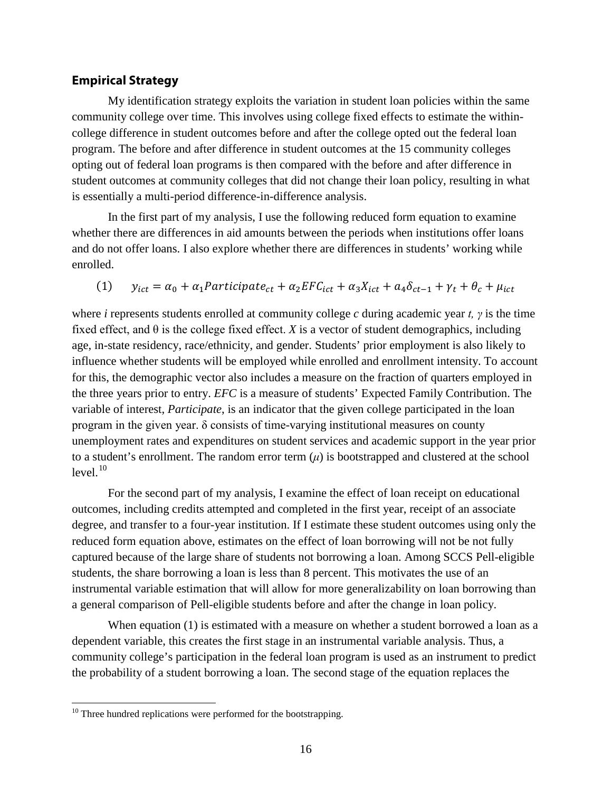#### <span id="page-19-0"></span>**Empirical Strategy**

My identification strategy exploits the variation in student loan policies within the same community college over time. This involves using college fixed effects to estimate the withincollege difference in student outcomes before and after the college opted out the federal loan program. The before and after difference in student outcomes at the 15 community colleges opting out of federal loan programs is then compared with the before and after difference in student outcomes at community colleges that did not change their loan policy, resulting in what is essentially a multi-period difference-in-difference analysis.

In the first part of my analysis, I use the following reduced form equation to examine whether there are differences in aid amounts between the periods when institutions offer loans and do not offer loans. I also explore whether there are differences in students' working while enrolled.

(1) 
$$
y_{ict} = \alpha_0 + \alpha_1 \text{Participate}_{ct} + \alpha_2 \text{EFC}_{ict} + \alpha_3 X_{ict} + \alpha_4 \delta_{ct-1} + \gamma_t + \theta_c + \mu_{ict}
$$

where *i* represents students enrolled at community college *c* during academic year *t, γ* is the time fixed effect, and  $\theta$  is the college fixed effect. *X* is a vector of student demographics, including age, in-state residency, race/ethnicity, and gender. Students' prior employment is also likely to influence whether students will be employed while enrolled and enrollment intensity. To account for this, the demographic vector also includes a measure on the fraction of quarters employed in the three years prior to entry. *EFC* is a measure of students' Expected Family Contribution. The variable of interest, *Participate*, is an indicator that the given college participated in the loan program in the given year.  $\delta$  consists of time-varying institutional measures on county unemployment rates and expenditures on student services and academic support in the year prior to a student's enrollment. The random error term  $(\mu)$  is bootstrapped and clustered at the school  $level.<sup>10</sup>$  $level.<sup>10</sup>$  $level.<sup>10</sup>$ 

For the second part of my analysis, I examine the effect of loan receipt on educational outcomes, including credits attempted and completed in the first year, receipt of an associate degree, and transfer to a four-year institution. If I estimate these student outcomes using only the reduced form equation above, estimates on the effect of loan borrowing will not be not fully captured because of the large share of students not borrowing a loan. Among SCCS Pell-eligible students, the share borrowing a loan is less than 8 percent. This motivates the use of an instrumental variable estimation that will allow for more generalizability on loan borrowing than a general comparison of Pell-eligible students before and after the change in loan policy.

When equation (1) is estimated with a measure on whether a student borrowed a loan as a dependent variable, this creates the first stage in an instrumental variable analysis. Thus, a community college's participation in the federal loan program is used as an instrument to predict the probability of a student borrowing a loan. The second stage of the equation replaces the

<span id="page-19-1"></span> $10$  Three hundred replications were performed for the bootstrapping.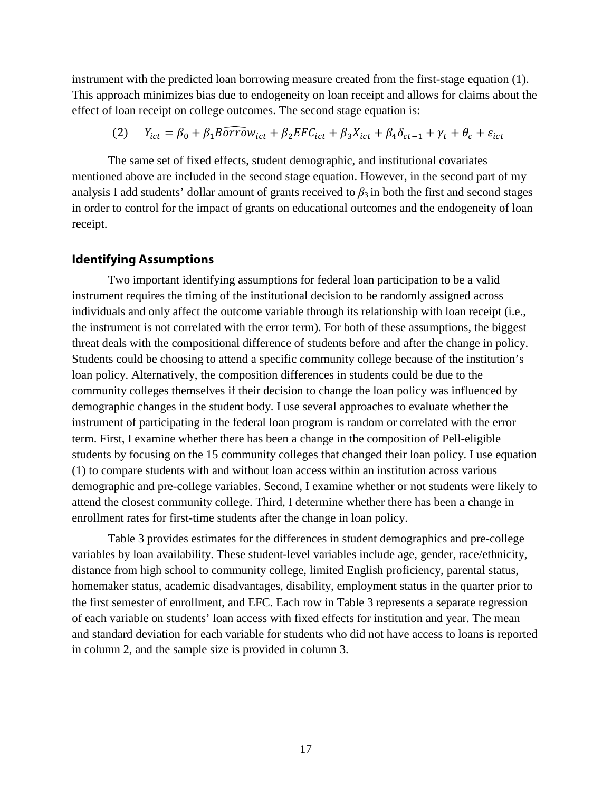instrument with the predicted loan borrowing measure created from the first-stage equation (1). This approach minimizes bias due to endogeneity on loan receipt and allows for claims about the effect of loan receipt on college outcomes. The second stage equation is:

(2) 
$$
Y_{ict} = \beta_0 + \beta_1 B \overline{or} \overline{row}_{ict} + \beta_2 E F C_{ict} + \beta_3 X_{ict} + \beta_4 \delta_{ct-1} + \gamma_t + \theta_c + \varepsilon_{ict}
$$

The same set of fixed effects, student demographic, and institutional covariates mentioned above are included in the second stage equation. However, in the second part of my analysis I add students' dollar amount of grants received to  $\beta_3$  in both the first and second stages in order to control for the impact of grants on educational outcomes and the endogeneity of loan receipt.

#### <span id="page-20-0"></span>**Identifying Assumptions**

Two important identifying assumptions for federal loan participation to be a valid instrument requires the timing of the institutional decision to be randomly assigned across individuals and only affect the outcome variable through its relationship with loan receipt (i.e., the instrument is not correlated with the error term). For both of these assumptions, the biggest threat deals with the compositional difference of students before and after the change in policy. Students could be choosing to attend a specific community college because of the institution's loan policy. Alternatively, the composition differences in students could be due to the community colleges themselves if their decision to change the loan policy was influenced by demographic changes in the student body. I use several approaches to evaluate whether the instrument of participating in the federal loan program is random or correlated with the error term. First, I examine whether there has been a change in the composition of Pell-eligible students by focusing on the 15 community colleges that changed their loan policy. I use equation (1) to compare students with and without loan access within an institution across various demographic and pre-college variables. Second, I examine whether or not students were likely to attend the closest community college. Third, I determine whether there has been a change in enrollment rates for first-time students after the change in loan policy.

Table 3 provides estimates for the differences in student demographics and pre-college variables by loan availability. These student-level variables include age, gender, race/ethnicity, distance from high school to community college, limited English proficiency, parental status, homemaker status, academic disadvantages, disability, employment status in the quarter prior to the first semester of enrollment, and EFC. Each row in Table 3 represents a separate regression of each variable on students' loan access with fixed effects for institution and year. The mean and standard deviation for each variable for students who did not have access to loans is reported in column 2, and the sample size is provided in column 3.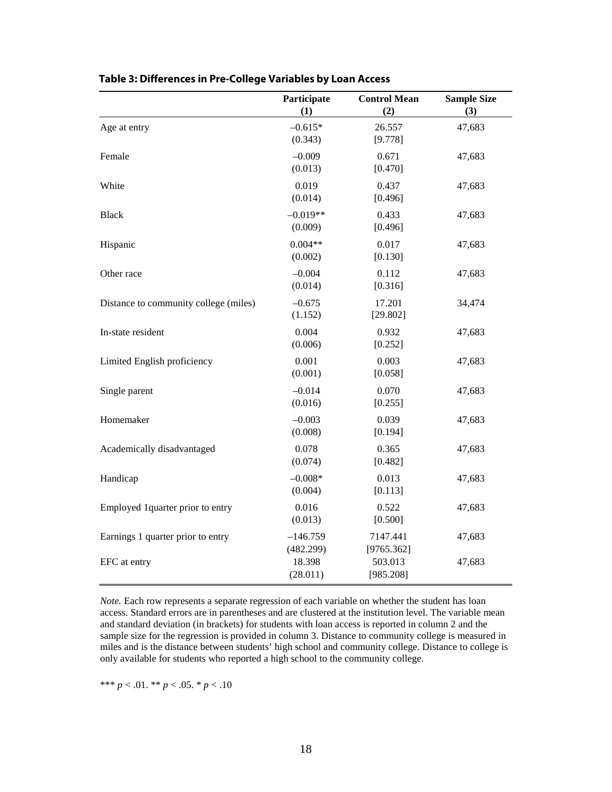|                                       | Participate<br>(1)      | <b>Control Mean</b><br>(2) | <b>Sample Size</b><br>(3) |
|---------------------------------------|-------------------------|----------------------------|---------------------------|
| Age at entry                          | $-0.615*$<br>(0.343)    | 26.557<br>[9.778]          | 47,683                    |
| Female                                | $-0.009$<br>(0.013)     | 0.671<br>[0.470]           | 47,683                    |
| White                                 | 0.019<br>(0.014)        | 0.437<br>[0.496]           | 47,683                    |
| <b>Black</b>                          | $-0.019**$<br>(0.009)   | 0.433<br>[0.496]           | 47,683                    |
| Hispanic                              | $0.004**$<br>(0.002)    | 0.017<br>[0.130]           | 47,683                    |
| Other race                            | $-0.004$<br>(0.014)     | 0.112<br>[0.316]           | 47,683                    |
| Distance to community college (miles) | $-0.675$<br>(1.152)     | 17.201<br>[29.802]         | 34,474                    |
| In-state resident                     | 0.004<br>(0.006)        | 0.932<br>[0.252]           | 47,683                    |
| Limited English proficiency           | 0.001<br>(0.001)        | 0.003<br>[0.058]           | 47,683                    |
| Single parent                         | $-0.014$<br>(0.016)     | 0.070<br>[0.255]           | 47,683                    |
| Homemaker                             | $-0.003$<br>(0.008)     | 0.039<br>[0.194]           | 47,683                    |
| Academically disadvantaged            | 0.078<br>(0.074)        | 0.365<br>[0.482]           | 47,683                    |
| Handicap                              | $-0.008*$<br>(0.004)    | 0.013<br>[0.113]           | 47,683                    |
| Employed 1quarter prior to entry      | 0.016<br>(0.013)        | 0.522<br>[0.500]           | 47,683                    |
| Earnings 1 quarter prior to entry     | $-146.759$<br>(482.299) | 7147.441<br>[9765.362]     | 47,683                    |
| EFC at entry                          | 18.398<br>(28.011)      | 503.013<br>[985.208]       | 47,683                    |

**Table 3: Differences in Pre-College Variables by Loan Access**

*Note.* Each row represents a separate regression of each variable on whether the student has loan access. Standard errors are in parentheses and are clustered at the institution level. The variable mean and standard deviation (in brackets) for students with loan access is reported in column 2 and the sample size for the regression is provided in column 3. Distance to community college is measured in miles and is the distance between students' high school and community college. Distance to college is only available for students who reported a high school to the community college.

\*\*\* *p* < .01. \*\* *p* < .05. \* *p* < .10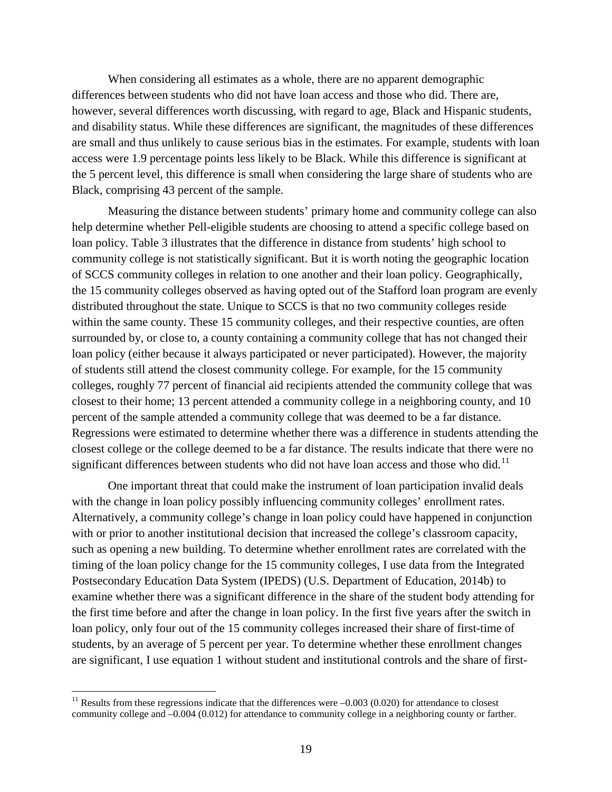When considering all estimates as a whole, there are no apparent demographic differences between students who did not have loan access and those who did. There are, however, several differences worth discussing, with regard to age, Black and Hispanic students, and disability status. While these differences are significant, the magnitudes of these differences are small and thus unlikely to cause serious bias in the estimates. For example, students with loan access were 1.9 percentage points less likely to be Black. While this difference is significant at the 5 percent level, this difference is small when considering the large share of students who are Black, comprising 43 percent of the sample.

Measuring the distance between students' primary home and community college can also help determine whether Pell-eligible students are choosing to attend a specific college based on loan policy. Table 3 illustrates that the difference in distance from students' high school to community college is not statistically significant. But it is worth noting the geographic location of SCCS community colleges in relation to one another and their loan policy. Geographically, the 15 community colleges observed as having opted out of the Stafford loan program are evenly distributed throughout the state. Unique to SCCS is that no two community colleges reside within the same county. These 15 community colleges, and their respective counties, are often surrounded by, or close to, a county containing a community college that has not changed their loan policy (either because it always participated or never participated). However, the majority of students still attend the closest community college. For example, for the 15 community colleges, roughly 77 percent of financial aid recipients attended the community college that was closest to their home; 13 percent attended a community college in a neighboring county, and 10 percent of the sample attended a community college that was deemed to be a far distance. Regressions were estimated to determine whether there was a difference in students attending the closest college or the college deemed to be a far distance. The results indicate that there were no significant differences between students who did not have loan access and those who did.<sup>[11](#page-22-0)</sup>

One important threat that could make the instrument of loan participation invalid deals with the change in loan policy possibly influencing community colleges' enrollment rates. Alternatively, a community college's change in loan policy could have happened in conjunction with or prior to another institutional decision that increased the college's classroom capacity, such as opening a new building. To determine whether enrollment rates are correlated with the timing of the loan policy change for the 15 community colleges, I use data from the Integrated Postsecondary Education Data System (IPEDS) (U.S. Department of Education, 2014b) to examine whether there was a significant difference in the share of the student body attending for the first time before and after the change in loan policy. In the first five years after the switch in loan policy, only four out of the 15 community colleges increased their share of first-time of students, by an average of 5 percent per year. To determine whether these enrollment changes are significant, I use equation 1 without student and institutional controls and the share of first-

<span id="page-22-0"></span> $11$  Results from these regressions indicate that the differences were  $-0.003$  (0.020) for attendance to closest community college and –0.004 (0.012) for attendance to community college in a neighboring county or farther.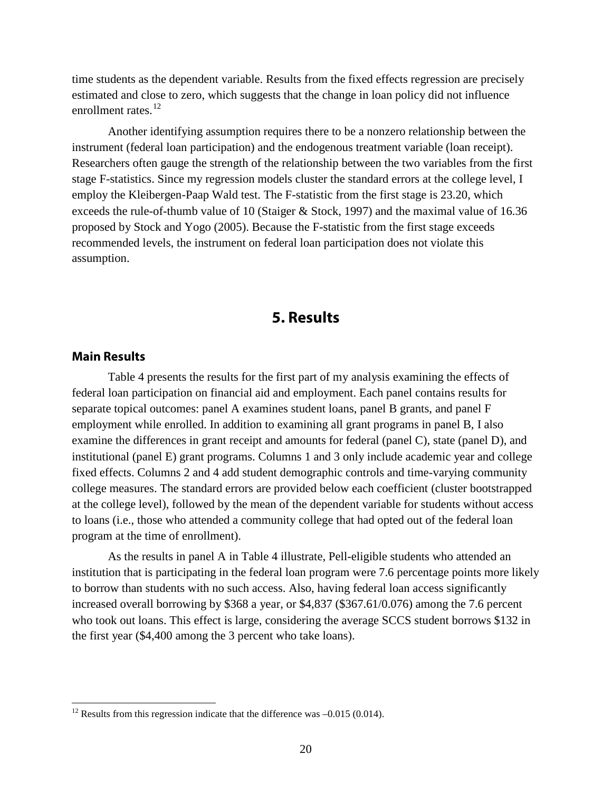time students as the dependent variable. Results from the fixed effects regression are precisely estimated and close to zero, which suggests that the change in loan policy did not influence enrollment rates.<sup>[12](#page-23-2)</sup>

Another identifying assumption requires there to be a nonzero relationship between the instrument (federal loan participation) and the endogenous treatment variable (loan receipt). Researchers often gauge the strength of the relationship between the two variables from the first stage F-statistics. Since my regression models cluster the standard errors at the college level, I employ the Kleibergen-Paap Wald test. The F-statistic from the first stage is 23.20, which exceeds the rule-of-thumb value of 10 (Staiger & Stock, 1997) and the maximal value of 16.36 proposed by Stock and Yogo (2005). Because the F-statistic from the first stage exceeds recommended levels, the instrument on federal loan participation does not violate this assumption.

### **5. Results**

#### <span id="page-23-1"></span><span id="page-23-0"></span>**Main Results**

Table 4 presents the results for the first part of my analysis examining the effects of federal loan participation on financial aid and employment. Each panel contains results for separate topical outcomes: panel A examines student loans, panel B grants, and panel F employment while enrolled. In addition to examining all grant programs in panel B, I also examine the differences in grant receipt and amounts for federal (panel C), state (panel D), and institutional (panel E) grant programs. Columns 1 and 3 only include academic year and college fixed effects. Columns 2 and 4 add student demographic controls and time-varying community college measures. The standard errors are provided below each coefficient (cluster bootstrapped at the college level), followed by the mean of the dependent variable for students without access to loans (i.e., those who attended a community college that had opted out of the federal loan program at the time of enrollment).

As the results in panel A in Table 4 illustrate, Pell-eligible students who attended an institution that is participating in the federal loan program were 7.6 percentage points more likely to borrow than students with no such access. Also, having federal loan access significantly increased overall borrowing by \$368 a year, or \$4,837 (\$367.61/0.076) among the 7.6 percent who took out loans. This effect is large, considering the average SCCS student borrows \$132 in the first year (\$4,400 among the 3 percent who take loans).

<span id="page-23-2"></span><sup>&</sup>lt;sup>12</sup> Results from this regression indicate that the difference was  $-0.015$  (0.014).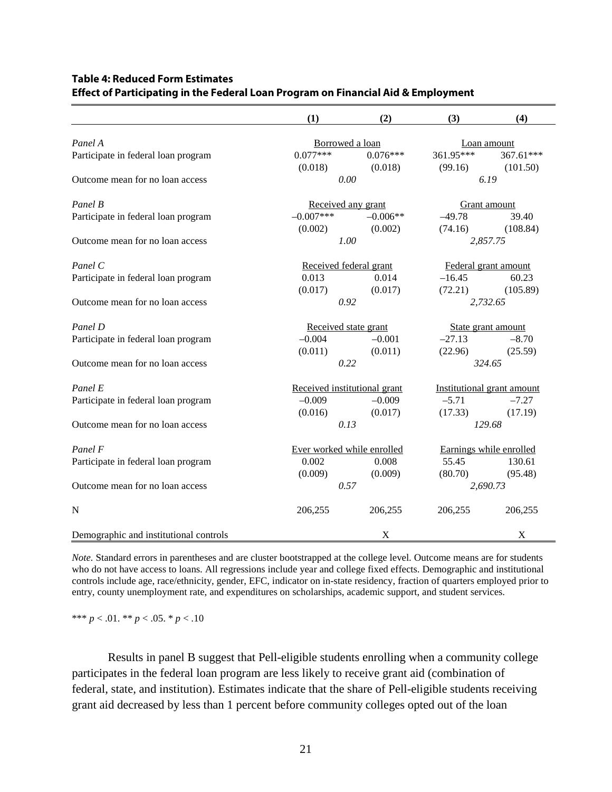|                                        | (1)                          | (2)                                | (3)       | (4)                        |  |
|----------------------------------------|------------------------------|------------------------------------|-----------|----------------------------|--|
| Panel A                                |                              | Borrowed a loan                    |           | <b>Loan</b> amount         |  |
| Participate in federal loan program    | $0.077***$                   | $0.076***$                         | 361.95*** | 367.61***                  |  |
|                                        | (0.018)                      | (0.018)                            | (99.16)   | (101.50)                   |  |
| Outcome mean for no loan access        | 0.00                         |                                    |           | 6.19                       |  |
| Panel B                                |                              | Received any grant<br>Grant amount |           |                            |  |
| Participate in federal loan program    | $-0.007***$                  | $-0.006**$                         | $-49.78$  | 39.40                      |  |
|                                        | (0.002)                      | (0.002)                            | (74.16)   | (108.84)                   |  |
| Outcome mean for no loan access        | 1.00                         |                                    |           | 2,857.75                   |  |
| Panel C                                | Received federal grant       |                                    |           | Federal grant amount       |  |
| Participate in federal loan program    | 0.013                        | 0.014                              | $-16.45$  | 60.23                      |  |
|                                        | (0.017)                      | (0.017)                            | (72.21)   | (105.89)                   |  |
| Outcome mean for no loan access        | 0.92                         |                                    | 2,732.65  |                            |  |
| Panel D                                | Received state grant         |                                    |           | State grant amount         |  |
| Participate in federal loan program    | $-0.004$                     | $-0.001$                           | $-27.13$  | $-8.70$                    |  |
|                                        | (0.011)                      | (0.011)                            | (22.96)   | (25.59)                    |  |
| Outcome mean for no loan access        | 0.22                         |                                    | 324.65    |                            |  |
| Panel E                                | Received institutional grant |                                    |           | Institutional grant amount |  |
| Participate in federal loan program    | $-0.009$                     | $-0.009$                           | $-5.71$   | $-7.27$                    |  |
|                                        | (0.016)                      | (0.017)                            | (17.33)   | (17.19)                    |  |
| Outcome mean for no loan access        | 0.13                         |                                    | 129.68    |                            |  |
| Panel F                                | Ever worked while enrolled   |                                    |           | Earnings while enrolled    |  |
| Participate in federal loan program    | 0.002                        | 0.008                              | 55.45     | 130.61                     |  |
|                                        | (0.009)                      | (0.009)                            | (80.70)   | (95.48)                    |  |
| Outcome mean for no loan access        | 0.57                         |                                    |           | 2,690.73                   |  |
| N                                      | 206,255                      | 206,255                            | 206,255   | 206,255                    |  |
| Demographic and institutional controls |                              | X                                  |           | $\boldsymbol{\mathrm{X}}$  |  |

#### **Table 4: Reduced Form Estimates Effect of Participating in the Federal Loan Program on Financial Aid & Employment**

*Note.* Standard errors in parentheses and are cluster bootstrapped at the college level. Outcome means are for students who do not have access to loans. All regressions include year and college fixed effects. Demographic and institutional controls include age, race/ethnicity, gender, EFC, indicator on in-state residency, fraction of quarters employed prior to entry, county unemployment rate, and expenditures on scholarships, academic support, and student services.

\*\*\*  $p < .01$ . \*\*  $p < .05$ . \*  $p < .10$ 

Results in panel B suggest that Pell-eligible students enrolling when a community college participates in the federal loan program are less likely to receive grant aid (combination of federal, state, and institution). Estimates indicate that the share of Pell-eligible students receiving grant aid decreased by less than 1 percent before community colleges opted out of the loan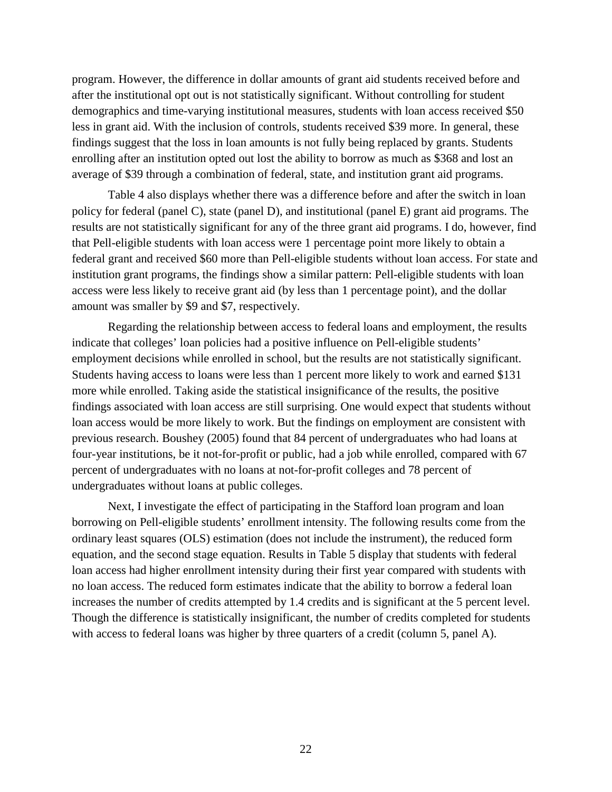program. However, the difference in dollar amounts of grant aid students received before and after the institutional opt out is not statistically significant. Without controlling for student demographics and time-varying institutional measures, students with loan access received \$50 less in grant aid. With the inclusion of controls, students received \$39 more. In general, these findings suggest that the loss in loan amounts is not fully being replaced by grants. Students enrolling after an institution opted out lost the ability to borrow as much as \$368 and lost an average of \$39 through a combination of federal, state, and institution grant aid programs.

Table 4 also displays whether there was a difference before and after the switch in loan policy for federal (panel C), state (panel D), and institutional (panel E) grant aid programs. The results are not statistically significant for any of the three grant aid programs. I do, however, find that Pell-eligible students with loan access were 1 percentage point more likely to obtain a federal grant and received \$60 more than Pell-eligible students without loan access. For state and institution grant programs, the findings show a similar pattern: Pell-eligible students with loan access were less likely to receive grant aid (by less than 1 percentage point), and the dollar amount was smaller by \$9 and \$7, respectively.

Regarding the relationship between access to federal loans and employment, the results indicate that colleges' loan policies had a positive influence on Pell-eligible students' employment decisions while enrolled in school, but the results are not statistically significant. Students having access to loans were less than 1 percent more likely to work and earned \$131 more while enrolled. Taking aside the statistical insignificance of the results, the positive findings associated with loan access are still surprising. One would expect that students without loan access would be more likely to work. But the findings on employment are consistent with previous research. Boushey (2005) found that 84 percent of undergraduates who had loans at four-year institutions, be it not-for-profit or public, had a job while enrolled, compared with 67 percent of undergraduates with no loans at not-for-profit colleges and 78 percent of undergraduates without loans at public colleges.

Next, I investigate the effect of participating in the Stafford loan program and loan borrowing on Pell-eligible students' enrollment intensity. The following results come from the ordinary least squares (OLS) estimation (does not include the instrument), the reduced form equation, and the second stage equation. Results in Table 5 display that students with federal loan access had higher enrollment intensity during their first year compared with students with no loan access. The reduced form estimates indicate that the ability to borrow a federal loan increases the number of credits attempted by 1.4 credits and is significant at the 5 percent level. Though the difference is statistically insignificant, the number of credits completed for students with access to federal loans was higher by three quarters of a credit (column 5, panel A).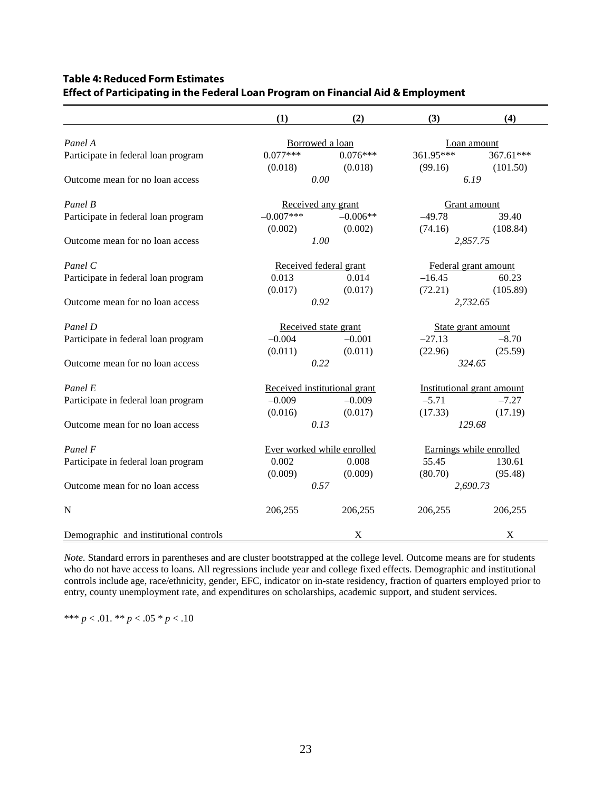#### **Table 4: Reduced Form Estimates**

|                                        | (1)         | (2)                          | (3)       | (4)                        |
|----------------------------------------|-------------|------------------------------|-----------|----------------------------|
| Panel A                                |             | Borrowed a loan              |           | Loan amount                |
| Participate in federal loan program    | $0.077***$  | $0.076***$                   | 361.95*** | 367.61***                  |
|                                        | (0.018)     | (0.018)                      | (99.16)   | (101.50)                   |
| Outcome mean for no loan access        |             | 0.00                         |           | 6.19                       |
| Panel B                                |             | Received any grant           |           | Grant amount               |
| Participate in federal loan program    | $-0.007***$ | $-0.006**$                   | $-49.78$  | 39.40                      |
|                                        | (0.002)     | (0.002)                      | (74.16)   | (108.84)                   |
| Outcome mean for no loan access        |             | 1.00                         |           | 2,857.75                   |
| Panel C                                |             | Received federal grant       |           | Federal grant amount       |
| Participate in federal loan program    | 0.013       | 0.014                        | $-16.45$  | 60.23                      |
|                                        | (0.017)     | (0.017)                      | (72.21)   | (105.89)                   |
| Outcome mean for no loan access        |             | 0.92                         |           | 2,732.65                   |
| Panel D                                |             | Received state grant         |           | State grant amount         |
| Participate in federal loan program    | $-0.004$    | $-0.001$                     | $-27.13$  | $-8.70$                    |
|                                        | (0.011)     | (0.011)                      | (22.96)   | (25.59)                    |
| Outcome mean for no loan access        |             | 0.22                         | 324.65    |                            |
| Panel E                                |             | Received institutional grant |           | Institutional grant amount |
| Participate in federal loan program    | $-0.009$    | $-0.009$                     | $-5.71$   | $-7.27$                    |
|                                        | (0.016)     | (0.017)                      | (17.33)   | (17.19)                    |
| Outcome mean for no loan access        |             | 0.13                         |           | 129.68                     |
| Panel F                                |             | Ever worked while enrolled   |           | Earnings while enrolled    |
| Participate in federal loan program    | 0.002       | 0.008                        | 55.45     | 130.61                     |
|                                        | (0.009)     | (0.009)                      | (80.70)   | (95.48)                    |
| Outcome mean for no loan access        |             | 0.57                         |           | 2,690.73                   |
| N                                      | 206,255     | 206,255                      | 206,255   | 206,255                    |
| Demographic and institutional controls |             | $\mathbf X$                  |           | $\boldsymbol{\mathrm{X}}$  |

*Note.* Standard errors in parentheses and are cluster bootstrapped at the college level. Outcome means are for students who do not have access to loans. All regressions include year and college fixed effects. Demographic and institutional controls include age, race/ethnicity, gender, EFC, indicator on in-state residency, fraction of quarters employed prior to entry, county unemployment rate, and expenditures on scholarships, academic support, and student services.

\*\*\* *p* < .01. \*\* *p* < .05 \* *p* < .10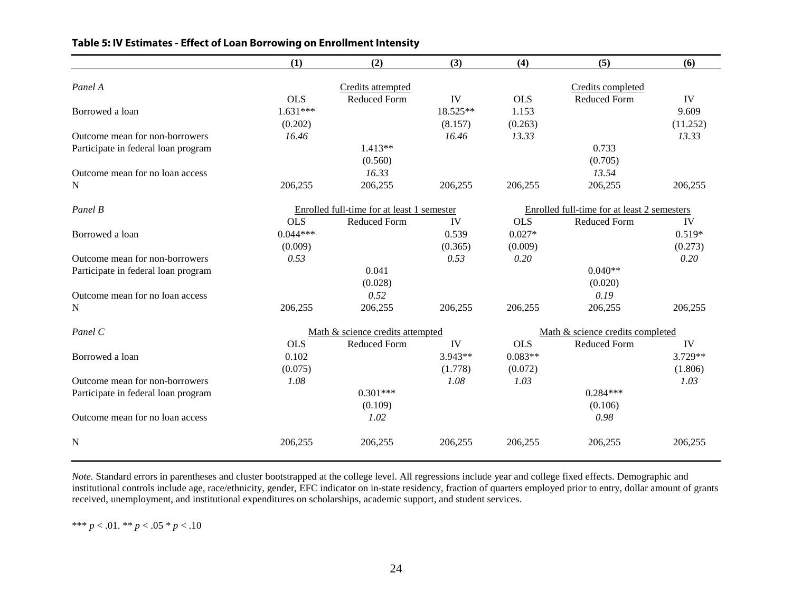|                                     | (1)        | (2)                                        | (3)      | (4)        | (5)                                         | (6)      |
|-------------------------------------|------------|--------------------------------------------|----------|------------|---------------------------------------------|----------|
| Panel A                             |            | Credits attempted                          |          |            | Credits completed                           |          |
|                                     | <b>OLS</b> | Reduced Form                               | IV       | <b>OLS</b> | <b>Reduced Form</b>                         | IV       |
| Borrowed a loan                     | $1.631***$ |                                            | 18.525** | 1.153      |                                             | 9.609    |
|                                     | (0.202)    |                                            | (8.157)  | (0.263)    |                                             | (11.252) |
| Outcome mean for non-borrowers      | 16.46      |                                            | 16.46    | 13.33      |                                             | 13.33    |
| Participate in federal loan program |            | $1.413**$                                  |          |            | 0.733                                       |          |
|                                     |            | (0.560)                                    |          |            | (0.705)                                     |          |
| Outcome mean for no loan access     |            | 16.33                                      |          |            | 13.54                                       |          |
| $\mathbf N$                         | 206,255    | 206,255                                    | 206,255  | 206,255    | 206,255                                     | 206,255  |
| Panel B                             |            | Enrolled full-time for at least 1 semester |          |            | Enrolled full-time for at least 2 semesters |          |
|                                     | <b>OLS</b> | Reduced Form                               | IV       | <b>OLS</b> | <b>Reduced Form</b>                         | IV       |
| Borrowed a loan                     | $0.044***$ |                                            | 0.539    | $0.027*$   |                                             | $0.519*$ |
|                                     | (0.009)    |                                            | (0.365)  | (0.009)    |                                             | (0.273)  |
| Outcome mean for non-borrowers      | 0.53       |                                            | 0.53     | 0.20       |                                             | 0.20     |
| Participate in federal loan program |            | 0.041                                      |          |            | $0.040**$                                   |          |
|                                     |            | (0.028)                                    |          |            | (0.020)                                     |          |
| Outcome mean for no loan access     |            | 0.52                                       |          |            | 0.19                                        |          |
| $\mathbf N$                         | 206,255    | 206,255                                    | 206,255  | 206,255    | 206,255                                     | 206,255  |
| Panel C                             |            | Math & science credits attempted           |          |            | Math & science credits completed            |          |
|                                     | <b>OLS</b> | <b>Reduced Form</b>                        | IV       | <b>OLS</b> | <b>Reduced Form</b>                         | IV       |
| Borrowed a loan                     | 0.102      |                                            | 3.943**  | $0.083**$  |                                             | 3.729**  |
|                                     | (0.075)    |                                            | (1.778)  | (0.072)    |                                             | (1.806)  |
| Outcome mean for non-borrowers      | 1.08       |                                            | 1.08     | 1.03       |                                             | 1.03     |
| Participate in federal loan program |            | $0.301***$                                 |          |            | $0.284***$                                  |          |
|                                     |            | (0.109)                                    |          |            | (0.106)                                     |          |
| Outcome mean for no loan access     |            | 1.02                                       |          |            | 0.98                                        |          |
| $\mathbf N$                         | 206,255    | 206,255                                    | 206,255  | 206,255    | 206,255                                     | 206,255  |

#### **Table 5: IV Estimates - Effect of Loan Borrowing on Enrollment Intensity**

*Note.* Standard errors in parentheses and cluster bootstrapped at the college level. All regressions include year and college fixed effects. Demographic and institutional controls include age, race/ethnicity, gender, EFC indicator on in-state residency, fraction of quarters employed prior to entry, dollar amount of grants received, unemployment, and institutional expenditures on scholarships, academic support, and student services.

\*\*\* *p* < .01. \*\* *p* < .05 \* *p* < .10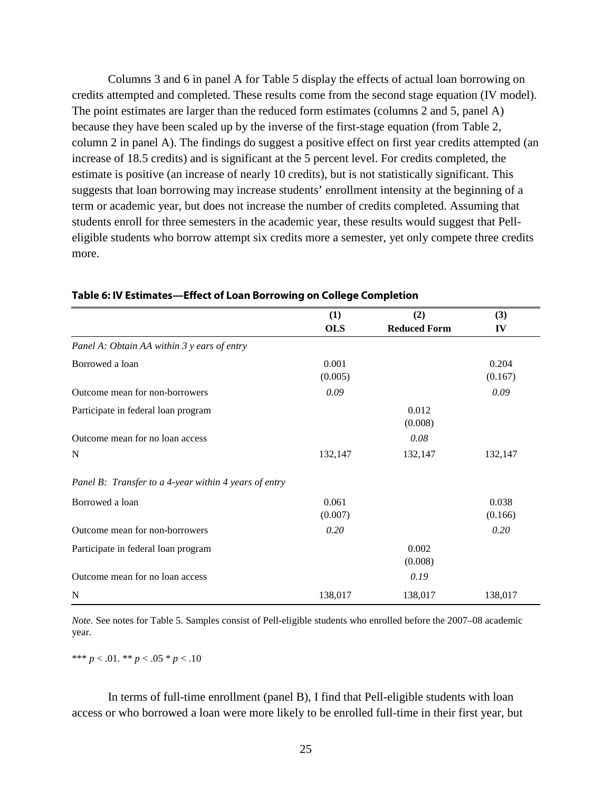Columns 3 and 6 in panel A for Table 5 display the effects of actual loan borrowing on credits attempted and completed. These results come from the second stage equation (IV model). The point estimates are larger than the reduced form estimates (columns 2 and 5, panel A) because they have been scaled up by the inverse of the first-stage equation (from Table 2, column 2 in panel A). The findings do suggest a positive effect on first year credits attempted (an increase of 18.5 credits) and is significant at the 5 percent level. For credits completed, the estimate is positive (an increase of nearly 10 credits), but is not statistically significant. This suggests that loan borrowing may increase students' enrollment intensity at the beginning of a term or academic year, but does not increase the number of credits completed. Assuming that students enroll for three semesters in the academic year, these results would suggest that Pelleligible students who borrow attempt six credits more a semester, yet only compete three credits more.

|                                                       | (1)        | (2)                 | (3)     |
|-------------------------------------------------------|------------|---------------------|---------|
|                                                       | <b>OLS</b> | <b>Reduced Form</b> | IV      |
| Panel A: Obtain AA within 3 y ears of entry           |            |                     |         |
| Borrowed a loan                                       | 0.001      |                     | 0.204   |
|                                                       | (0.005)    |                     | (0.167) |
| Outcome mean for non-borrowers                        | 0.09       |                     | 0.09    |
| Participate in federal loan program                   |            | 0.012               |         |
|                                                       |            | (0.008)             |         |
| Outcome mean for no loan access                       |            | 0.08                |         |
| N                                                     | 132,147    | 132,147             | 132,147 |
| Panel B: Transfer to a 4-year within 4 years of entry |            |                     |         |
| Borrowed a loan                                       | 0.061      |                     | 0.038   |
|                                                       | (0.007)    |                     | (0.166) |
| Outcome mean for non-borrowers                        | 0.20       |                     | 0.20    |
| Participate in federal loan program                   |            | 0.002               |         |
|                                                       |            | (0.008)             |         |
| Outcome mean for no loan access                       |            | 0.19                |         |
| $\mathbf N$                                           | 138,017    | 138,017             | 138,017 |

#### **Table 6: IV Estimates—Effect of Loan Borrowing on College Completion**

*Note.* See notes for Table 5. Samples consist of Pell-eligible students who enrolled before the 2007–08 academic year.

\*\*\* *p* < .01. \*\* *p* < .05 \* *p* < .10

In terms of full-time enrollment (panel B), I find that Pell-eligible students with loan access or who borrowed a loan were more likely to be enrolled full-time in their first year, but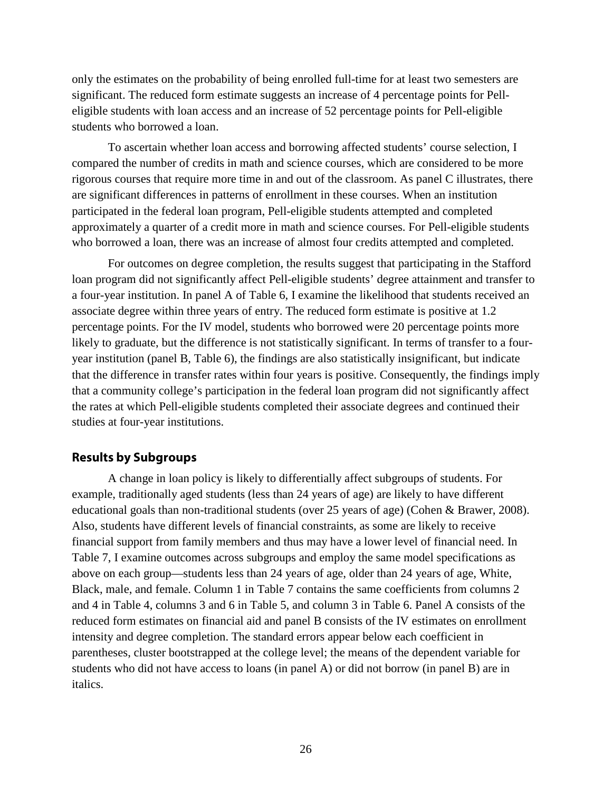only the estimates on the probability of being enrolled full-time for at least two semesters are significant. The reduced form estimate suggests an increase of 4 percentage points for Pelleligible students with loan access and an increase of 52 percentage points for Pell-eligible students who borrowed a loan.

To ascertain whether loan access and borrowing affected students' course selection, I compared the number of credits in math and science courses, which are considered to be more rigorous courses that require more time in and out of the classroom. As panel C illustrates, there are significant differences in patterns of enrollment in these courses. When an institution participated in the federal loan program, Pell-eligible students attempted and completed approximately a quarter of a credit more in math and science courses. For Pell-eligible students who borrowed a loan, there was an increase of almost four credits attempted and completed.

For outcomes on degree completion, the results suggest that participating in the Stafford loan program did not significantly affect Pell-eligible students' degree attainment and transfer to a four-year institution. In panel A of Table 6, I examine the likelihood that students received an associate degree within three years of entry. The reduced form estimate is positive at 1.2 percentage points. For the IV model, students who borrowed were 20 percentage points more likely to graduate, but the difference is not statistically significant. In terms of transfer to a fouryear institution (panel B, Table 6), the findings are also statistically insignificant, but indicate that the difference in transfer rates within four years is positive. Consequently, the findings imply that a community college's participation in the federal loan program did not significantly affect the rates at which Pell-eligible students completed their associate degrees and continued their studies at four-year institutions.

#### <span id="page-29-0"></span>**Results by Subgroups**

A change in loan policy is likely to differentially affect subgroups of students. For example, traditionally aged students (less than 24 years of age) are likely to have different educational goals than non-traditional students (over 25 years of age) (Cohen & Brawer, 2008). Also, students have different levels of financial constraints, as some are likely to receive financial support from family members and thus may have a lower level of financial need. In Table 7, I examine outcomes across subgroups and employ the same model specifications as above on each group—students less than 24 years of age, older than 24 years of age, White, Black, male, and female. Column 1 in Table 7 contains the same coefficients from columns 2 and 4 in Table 4, columns 3 and 6 in Table 5, and column 3 in Table 6. Panel A consists of the reduced form estimates on financial aid and panel B consists of the IV estimates on enrollment intensity and degree completion. The standard errors appear below each coefficient in parentheses, cluster bootstrapped at the college level; the means of the dependent variable for students who did not have access to loans (in panel A) or did not borrow (in panel B) are in italics.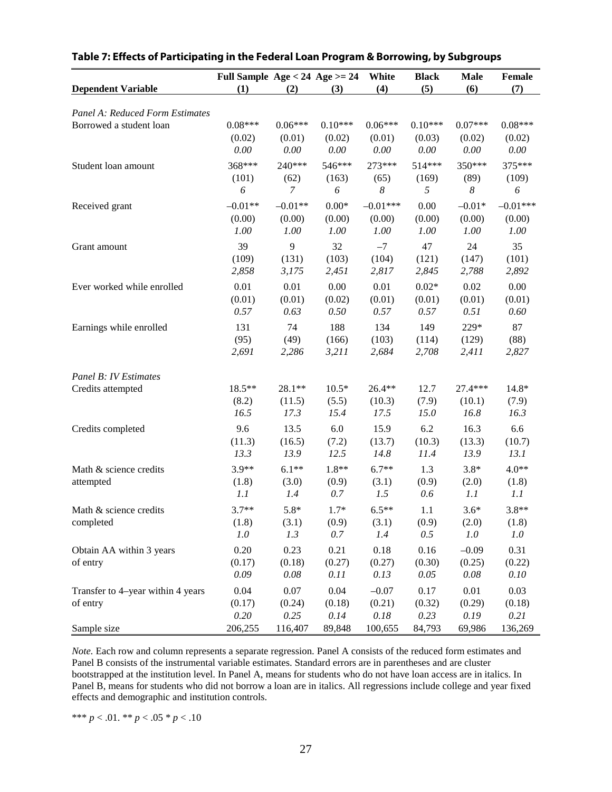|                                                            | Full Sample $Age < 24$ Age $>= 24$ |           |           | <b>White</b> | <b>Black</b> | <b>Male</b>      | Female     |
|------------------------------------------------------------|------------------------------------|-----------|-----------|--------------|--------------|------------------|------------|
| <b>Dependent Variable</b>                                  | (1)                                | (2)       | (3)       | (4)          | (5)          | (6)              | (7)        |
|                                                            |                                    |           |           |              |              |                  |            |
| Panel A: Reduced Form Estimates<br>Borrowed a student loan | $0.08***$                          | $0.06***$ | $0.10***$ | $0.06***$    | $0.10***$    | $0.07***$        | $0.08***$  |
|                                                            | (0.02)                             | (0.01)    | (0.02)    | (0.01)       | (0.03)       | (0.02)           | (0.02)     |
|                                                            | 0.00                               | 0.00      | 0.00      | 0.00         | 0.00         | 0.00             | $0.00\,$   |
| Student loan amount                                        | 368***                             | 240***    | 546***    | 273***       | 514***       | 350***           | 375***     |
|                                                            | (101)                              | (62)      | (163)     | (65)         | (169)        | (89)             | (109)      |
|                                                            | 6                                  | 7         | 6         | 8            | 5            | $\boldsymbol{8}$ | 6          |
| Received grant                                             | $-0.01**$                          | $-0.01**$ | $0.00*$   | $-0.01***$   | 0.00         | $-0.01*$         | $-0.01***$ |
|                                                            | (0.00)                             | (0.00)    | (0.00)    | (0.00)       | (0.00)       | (0.00)           | (0.00)     |
|                                                            | 1.00                               | 1.00      | 1.00      | 1.00         | 1.00         | 1.00             | 1.00       |
| Grant amount                                               | 39                                 | 9         | 32        | $-7$         | 47           | 24               | 35         |
|                                                            | (109)                              | (131)     | (103)     | (104)        | (121)        | (147)            | (101)      |
|                                                            | 2,858                              | 3,175     | 2,451     | 2,817        | 2,845        | 2,788            | 2,892      |
| Ever worked while enrolled                                 | 0.01                               | $0.01\,$  | 0.00      | 0.01         | $0.02*$      | 0.02             | 0.00       |
|                                                            | (0.01)                             | (0.01)    | (0.02)    | (0.01)       | (0.01)       | (0.01)           | (0.01)     |
|                                                            | 0.57                               | 0.63      | 0.50      | 0.57         | 0.57         | 0.51             | 0.60       |
| Earnings while enrolled                                    | 131                                | 74        | 188       | 134          | 149          | 229*             | 87         |
|                                                            | (95)                               | (49)      | (166)     | (103)        | (114)        | (129)            | (88)       |
|                                                            | 2,691                              | 2,286     | 3,211     | 2,684        | 2,708        | 2,411            | 2,827      |
| Panel B: IV Estimates                                      |                                    |           |           |              |              |                  |            |
| Credits attempted                                          | 18.5**                             | 28.1**    | $10.5*$   | $26.4**$     | 12.7         | 27.4***          | 14.8*      |
|                                                            | (8.2)                              | (11.5)    | (5.5)     | (10.3)       | (7.9)        | (10.1)           | (7.9)      |
|                                                            | 16.5                               | 17.3      | 15.4      | 17.5         | 15.0         | 16.8             | 16.3       |
| Credits completed                                          | 9.6                                | 13.5      | 6.0       | 15.9         | 6.2          | 16.3             | 6.6        |
|                                                            | (11.3)                             | (16.5)    | (7.2)     | (13.7)       | (10.3)       | (13.3)           | (10.7)     |
|                                                            | 13.3                               | 13.9      | 12.5      | 14.8         | 11.4         | 13.9             | 13.1       |
| Math & science credits                                     | $3.9**$                            | $6.1**$   | $1.8**$   | $6.7**$      | 1.3          | $3.8*$           | $4.0**$    |
| attempted                                                  | (1.8)                              | (3.0)     | (0.9)     | (3.1)        | (0.9)        | (2.0)            | (1.8)      |
|                                                            | 1.1                                | 1.4       | 0.7       | 1.5          | 0.6          | 1.1              | 1.1        |
| Math & science credits                                     | $3.7**$                            | $5.8*$    | $1.7*$    | $6.5**$      | 1.1          | $3.6*$           | $3.8**$    |
| completed                                                  | (1.8)                              | (3.1)     | (0.9)     | (3.1)        | (0.9)        | (2.0)            | (1.8)      |
|                                                            | 1.0                                | 1.3       | 0.7       | 1.4          | 0.5          | 1.0              | $1.0\,$    |
| Obtain AA within 3 years                                   | 0.20                               | 0.23      | 0.21      | 0.18         | 0.16         | $-0.09$          | 0.31       |
| of entry                                                   | (0.17)                             | (0.18)    | (0.27)    | (0.27)       | (0.30)       | (0.25)           | (0.22)     |
|                                                            | 0.09                               | 0.08      | 0.11      | 0.13         | 0.05         | 0.08             | 0.10       |
| Transfer to 4-year within 4 years                          | 0.04                               | 0.07      | 0.04      | $-0.07$      | 0.17         | 0.01             | 0.03       |
| of entry                                                   | (0.17)                             | (0.24)    | (0.18)    | (0.21)       | (0.32)       | (0.29)           | (0.18)     |
|                                                            | $0.20\,$                           | 0.25      | 0.14      | $0.18\,$     | 0.23         | 0.19             | 0.21       |
| Sample size                                                | 206,255                            | 116,407   | 89,848    | 100,655      | 84,793       | 69,986           | 136,269    |

#### **Table 7: Effects of Participating in the Federal Loan Program & Borrowing, by Subgroups**

*Note.* Each row and column represents a separate regression. Panel A consists of the reduced form estimates and Panel B consists of the instrumental variable estimates. Standard errors are in parentheses and are cluster bootstrapped at the institution level. In Panel A, means for students who do not have loan access are in italics. In Panel B, means for students who did not borrow a loan are in italics. All regressions include college and year fixed effects and demographic and institution controls.

\*\*\* *p* < .01. \*\* *p* < .05 \* *p* < .10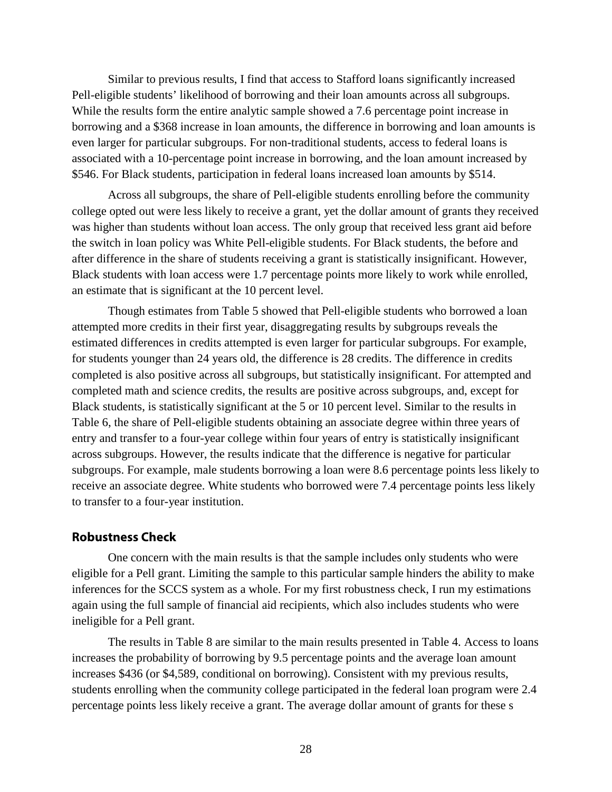Similar to previous results, I find that access to Stafford loans significantly increased Pell-eligible students' likelihood of borrowing and their loan amounts across all subgroups. While the results form the entire analytic sample showed a 7.6 percentage point increase in borrowing and a \$368 increase in loan amounts, the difference in borrowing and loan amounts is even larger for particular subgroups. For non-traditional students, access to federal loans is associated with a 10-percentage point increase in borrowing, and the loan amount increased by \$546. For Black students, participation in federal loans increased loan amounts by \$514.

Across all subgroups, the share of Pell-eligible students enrolling before the community college opted out were less likely to receive a grant, yet the dollar amount of grants they received was higher than students without loan access. The only group that received less grant aid before the switch in loan policy was White Pell-eligible students. For Black students, the before and after difference in the share of students receiving a grant is statistically insignificant. However, Black students with loan access were 1.7 percentage points more likely to work while enrolled, an estimate that is significant at the 10 percent level.

Though estimates from Table 5 showed that Pell-eligible students who borrowed a loan attempted more credits in their first year, disaggregating results by subgroups reveals the estimated differences in credits attempted is even larger for particular subgroups. For example, for students younger than 24 years old, the difference is 28 credits. The difference in credits completed is also positive across all subgroups, but statistically insignificant. For attempted and completed math and science credits, the results are positive across subgroups, and, except for Black students, is statistically significant at the 5 or 10 percent level. Similar to the results in Table 6, the share of Pell-eligible students obtaining an associate degree within three years of entry and transfer to a four-year college within four years of entry is statistically insignificant across subgroups. However, the results indicate that the difference is negative for particular subgroups. For example, male students borrowing a loan were 8.6 percentage points less likely to receive an associate degree. White students who borrowed were 7.4 percentage points less likely to transfer to a four-year institution.

#### <span id="page-31-0"></span>**Robustness Check**

One concern with the main results is that the sample includes only students who were eligible for a Pell grant. Limiting the sample to this particular sample hinders the ability to make inferences for the SCCS system as a whole. For my first robustness check, I run my estimations again using the full sample of financial aid recipients, which also includes students who were ineligible for a Pell grant.

The results in Table 8 are similar to the main results presented in Table 4. Access to loans increases the probability of borrowing by 9.5 percentage points and the average loan amount increases \$436 (or \$4,589, conditional on borrowing). Consistent with my previous results, students enrolling when the community college participated in the federal loan program were 2.4 percentage points less likely receive a grant. The average dollar amount of grants for these s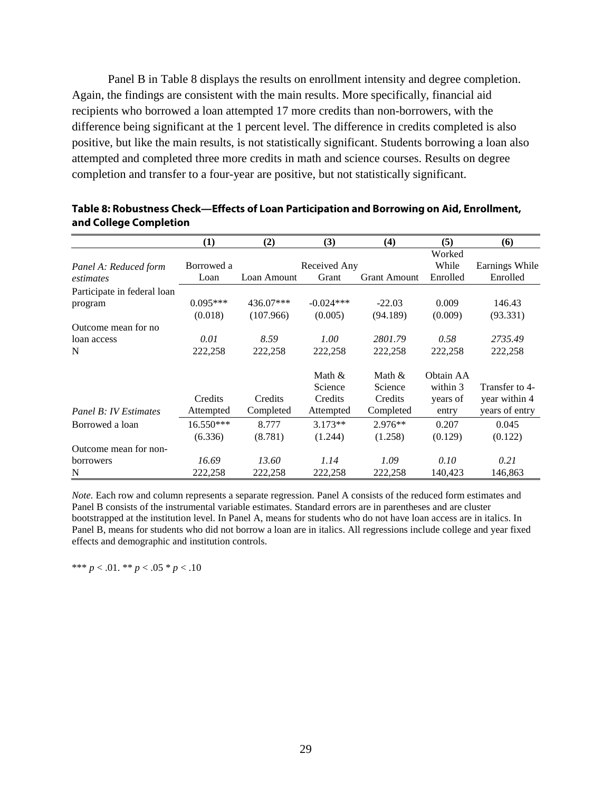Panel B in Table 8 displays the results on enrollment intensity and degree completion. Again, the findings are consistent with the main results. More specifically, financial aid recipients who borrowed a loan attempted 17 more credits than non-borrowers, with the difference being significant at the 1 percent level. The difference in credits completed is also positive, but like the main results, is not statistically significant. Students borrowing a loan also attempted and completed three more credits in math and science courses. Results on degree completion and transfer to a four-year are positive, but not statistically significant.

|                             | (1)        | (2)         | (3)          | (4)                 | (5)       | (6)            |
|-----------------------------|------------|-------------|--------------|---------------------|-----------|----------------|
|                             |            |             |              |                     | Worked    |                |
| Panel A: Reduced form       | Borrowed a |             | Received Any |                     | While     | Earnings While |
| estimates                   | Loan       | Loan Amount | Grant        | <b>Grant Amount</b> | Enrolled  | Enrolled       |
| Participate in federal loan |            |             |              |                     |           |                |
| program                     | $0.095***$ | 436.07***   | $-0.024***$  | $-22.03$            | 0.009     | 146.43         |
|                             | (0.018)    | (107.966)   | (0.005)      | (94.189)            | (0.009)   | (93.331)       |
| Outcome mean for no         |            |             |              |                     |           |                |
| loan access                 | 0.01       | 8.59        | 1.00         | 2801.79             | 0.58      | 2735.49        |
| N                           | 222,258    | 222,258     | 222,258      | 222,258             | 222,258   | 222,258        |
|                             |            |             | Math $&$     | Math $&$            | Obtain AA |                |
|                             |            |             | Science      | Science             | within 3  | Transfer to 4- |
|                             | Credits    | Credits     | Credits      | Credits             | years of  | year within 4  |
| Panel B: IV Estimates       | Attempted  | Completed   | Attempted    | Completed           | entry     | years of entry |
| Borrowed a loan             | 16.550***  | 8.777       | $3.173**$    | $2.976**$           | 0.207     | 0.045          |
|                             | (6.336)    | (8.781)     | (1.244)      | (1.258)             | (0.129)   | (0.122)        |
| Outcome mean for non-       |            |             |              |                     |           |                |
| borrowers                   | 16.69      | 13.60       | 1.14         | 1.09                | 0.10      | 0.21           |
| N                           | 222,258    | 222,258     | 222,258      | 222,258             | 140,423   | 146,863        |

#### **Table 8: Robustness Check—Effects of Loan Participation and Borrowing on Aid, Enrollment, and College Completion**

*Note.* Each row and column represents a separate regression. Panel A consists of the reduced form estimates and Panel B consists of the instrumental variable estimates. Standard errors are in parentheses and are cluster bootstrapped at the institution level. In Panel A, means for students who do not have loan access are in italics. In Panel B, means for students who did not borrow a loan are in italics. All regressions include college and year fixed effects and demographic and institution controls.

\*\*\* *p* < .01. \*\* *p* < .05 \* *p* < .10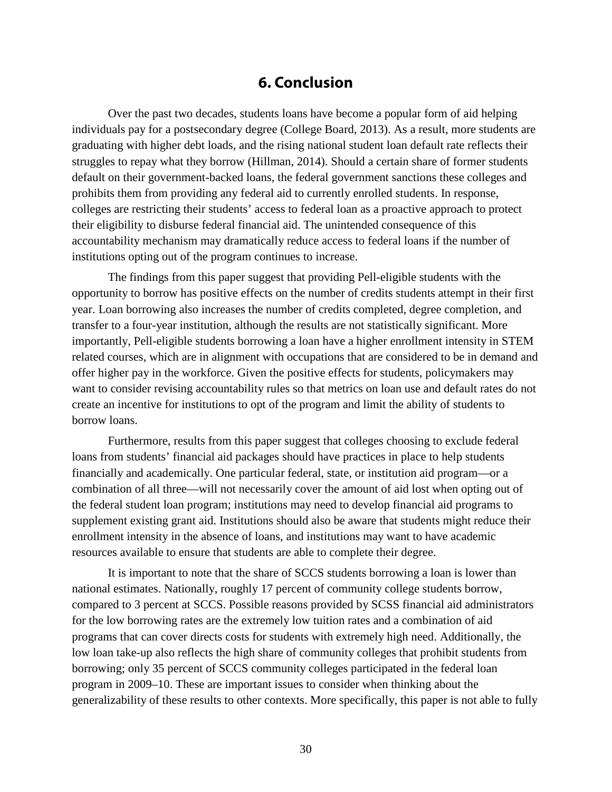## **6. Conclusion**

<span id="page-33-0"></span>Over the past two decades, students loans have become a popular form of aid helping individuals pay for a postsecondary degree (College Board, 2013). As a result, more students are graduating with higher debt loads, and the rising national student loan default rate reflects their struggles to repay what they borrow (Hillman, 2014). Should a certain share of former students default on their government-backed loans, the federal government sanctions these colleges and prohibits them from providing any federal aid to currently enrolled students. In response, colleges are restricting their students' access to federal loan as a proactive approach to protect their eligibility to disburse federal financial aid. The unintended consequence of this accountability mechanism may dramatically reduce access to federal loans if the number of institutions opting out of the program continues to increase.

The findings from this paper suggest that providing Pell-eligible students with the opportunity to borrow has positive effects on the number of credits students attempt in their first year. Loan borrowing also increases the number of credits completed, degree completion, and transfer to a four-year institution, although the results are not statistically significant. More importantly, Pell-eligible students borrowing a loan have a higher enrollment intensity in STEM related courses, which are in alignment with occupations that are considered to be in demand and offer higher pay in the workforce. Given the positive effects for students, policymakers may want to consider revising accountability rules so that metrics on loan use and default rates do not create an incentive for institutions to opt of the program and limit the ability of students to borrow loans.

Furthermore, results from this paper suggest that colleges choosing to exclude federal loans from students' financial aid packages should have practices in place to help students financially and academically. One particular federal, state, or institution aid program—or a combination of all three—will not necessarily cover the amount of aid lost when opting out of the federal student loan program; institutions may need to develop financial aid programs to supplement existing grant aid. Institutions should also be aware that students might reduce their enrollment intensity in the absence of loans, and institutions may want to have academic resources available to ensure that students are able to complete their degree.

It is important to note that the share of SCCS students borrowing a loan is lower than national estimates. Nationally, roughly 17 percent of community college students borrow, compared to 3 percent at SCCS. Possible reasons provided by SCSS financial aid administrators for the low borrowing rates are the extremely low tuition rates and a combination of aid programs that can cover directs costs for students with extremely high need. Additionally, the low loan take-up also reflects the high share of community colleges that prohibit students from borrowing; only 35 percent of SCCS community colleges participated in the federal loan program in 2009–10. These are important issues to consider when thinking about the generalizability of these results to other contexts. More specifically, this paper is not able to fully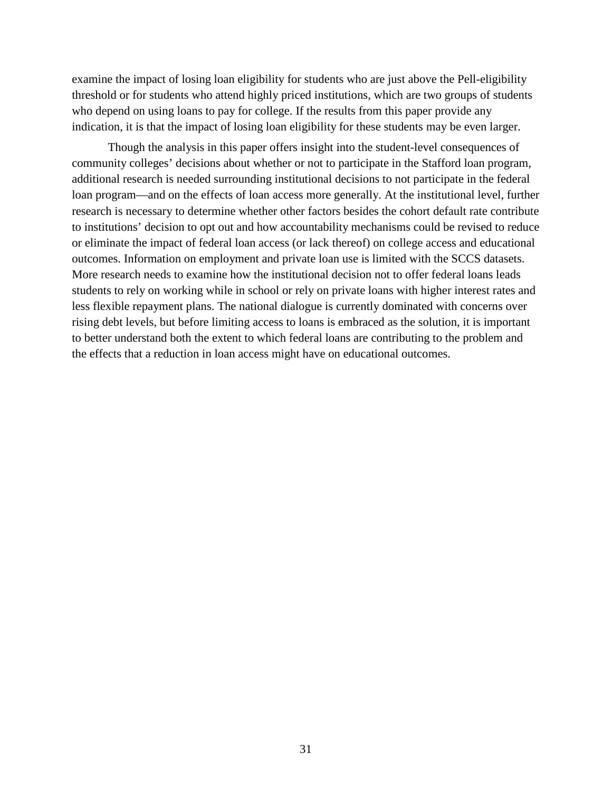examine the impact of losing loan eligibility for students who are just above the Pell-eligibility threshold or for students who attend highly priced institutions, which are two groups of students who depend on using loans to pay for college. If the results from this paper provide any indication, it is that the impact of losing loan eligibility for these students may be even larger.

Though the analysis in this paper offers insight into the student-level consequences of community colleges' decisions about whether or not to participate in the Stafford loan program, additional research is needed surrounding institutional decisions to not participate in the federal loan program—and on the effects of loan access more generally. At the institutional level, further research is necessary to determine whether other factors besides the cohort default rate contribute to institutions' decision to opt out and how accountability mechanisms could be revised to reduce or eliminate the impact of federal loan access (or lack thereof) on college access and educational outcomes. Information on employment and private loan use is limited with the SCCS datasets. More research needs to examine how the institutional decision not to offer federal loans leads students to rely on working while in school or rely on private loans with higher interest rates and less flexible repayment plans. The national dialogue is currently dominated with concerns over rising debt levels, but before limiting access to loans is embraced as the solution, it is important to better understand both the extent to which federal loans are contributing to the problem and the effects that a reduction in loan access might have on educational outcomes.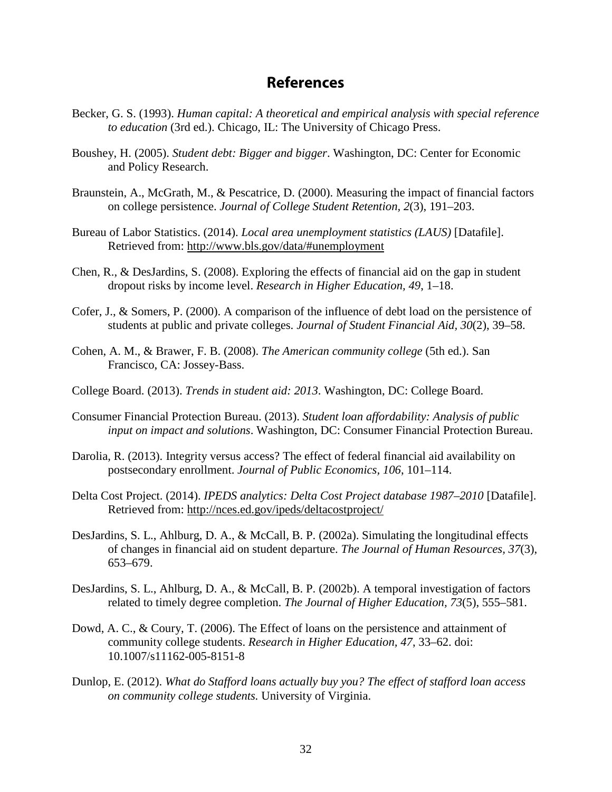## **References**

- <span id="page-35-0"></span>Becker, G. S. (1993). *Human capital: A theoretical and empirical analysis with special reference to education* (3rd ed.). Chicago, IL: The University of Chicago Press.
- Boushey, H. (2005). *Student debt: Bigger and bigger*. Washington, DC: Center for Economic and Policy Research.
- Braunstein, A., McGrath, M., & Pescatrice, D. (2000). Measuring the impact of financial factors on college persistence. *Journal of College Student Retention, 2*(3), 191–203.
- Bureau of Labor Statistics. (2014). *Local area unemployment statistics (LAUS)* [Datafile]. Retrieved from:<http://www.bls.gov/data/#unemployment>
- Chen, R., & DesJardins, S. (2008). Exploring the effects of financial aid on the gap in student dropout risks by income level. *Research in Higher Education, 49*, 1–18.
- Cofer, J., & Somers, P. (2000). A comparison of the influence of debt load on the persistence of students at public and private colleges. *Journal of Student Financial Aid, 30*(2), 39–58.
- Cohen, A. M., & Brawer, F. B. (2008). *The American community college* (5th ed.). San Francisco, CA: Jossey-Bass.
- College Board. (2013). *Trends in student aid: 2013*. Washington, DC: College Board.
- Consumer Financial Protection Bureau. (2013). *Student loan affordability: Analysis of public input on impact and solutions*. Washington, DC: Consumer Financial Protection Bureau.
- Darolia, R. (2013). Integrity versus access? The effect of federal financial aid availability on postsecondary enrollment. *Journal of Public Economics, 106*, 101–114.
- Delta Cost Project. (2014). *IPEDS analytics: Delta Cost Project database 1987–2010* [Datafile]. Retrieved from:<http://nces.ed.gov/ipeds/deltacostproject/>
- DesJardins, S. L., Ahlburg, D. A., & McCall, B. P. (2002a). Simulating the longitudinal effects of changes in financial aid on student departure. *The Journal of Human Resources, 37*(3), 653–679.
- DesJardins, S. L., Ahlburg, D. A., & McCall, B. P. (2002b). A temporal investigation of factors related to timely degree completion. *The Journal of Higher Education, 73*(5), 555–581.
- Dowd, A. C., & Coury, T. (2006). The Effect of loans on the persistence and attainment of community college students. *Research in Higher Education, 47*, 33–62. doi: 10.1007/s11162-005-8151-8
- Dunlop, E. (2012). *What do Stafford loans actually buy you? The effect of stafford loan access on community college students.* University of Virginia.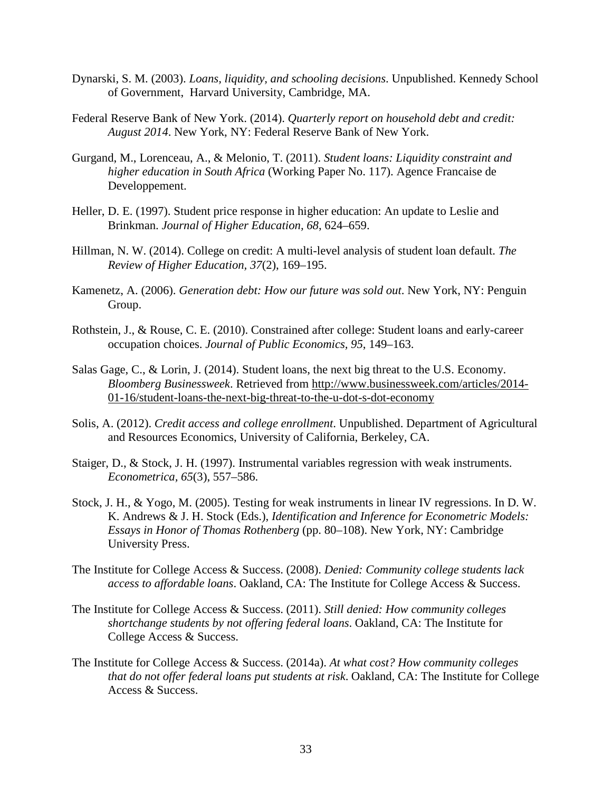- Dynarski, S. M. (2003). *Loans, liquidity, and schooling decisions*. Unpublished. Kennedy School of Government, Harvard University, Cambridge, MA.
- Federal Reserve Bank of New York. (2014). *Quarterly report on household debt and credit: August 2014*. New York, NY: Federal Reserve Bank of New York.
- Gurgand, M., Lorenceau, A., & Melonio, T. (2011). *Student loans: Liquidity constraint and higher education in South Africa* (Working Paper No. 117). Agence Francaise de Developpement.
- Heller, D. E. (1997). Student price response in higher education: An update to Leslie and Brinkman. *Journal of Higher Education, 68*, 624–659.
- Hillman, N. W. (2014). College on credit: A multi-level analysis of student loan default. *The Review of Higher Education, 37*(2), 169–195.
- Kamenetz, A. (2006). *Generation debt: How our future was sold out*. New York, NY: Penguin Group.
- Rothstein, J., & Rouse, C. E. (2010). Constrained after college: Student loans and early-career occupation choices. *Journal of Public Economics, 95*, 149–163.
- Salas Gage, C., & Lorin, J. (2014). Student loans, the next big threat to the U.S. Economy. *Bloomberg Businessweek*. Retrieved from [http://www.businessweek.com/articles/2014-](http://www.businessweek.com/articles/2014-01-16/student-loans-the-next-big-threat-to-the-u-dot-s-dot-economy) [01-16/student-loans-the-next-big-threat-to-the-u-dot-s-dot-economy](http://www.businessweek.com/articles/2014-01-16/student-loans-the-next-big-threat-to-the-u-dot-s-dot-economy)
- Solis, A. (2012). *Credit access and college enrollment*. Unpublished. Department of Agricultural and Resources Economics, University of California, Berkeley, CA.
- Staiger, D., & Stock, J. H. (1997). Instrumental variables regression with weak instruments. *Econometrica, 65*(3), 557–586.
- Stock, J. H., & Yogo, M. (2005). Testing for weak instruments in linear IV regressions. In D. W. K. Andrews & J. H. Stock (Eds.), *Identification and Inference for Econometric Models: Essays in Honor of Thomas Rothenberg* (pp. 80–108). New York, NY: Cambridge University Press.
- The Institute for College Access & Success. (2008). *Denied: Community college students lack access to affordable loans*. Oakland, CA: The Institute for College Access & Success.
- The Institute for College Access & Success. (2011). *Still denied: How community colleges shortchange students by not offering federal loans*. Oakland, CA: The Institute for College Access & Success.
- The Institute for College Access & Success. (2014a). *At what cost? How community colleges that do not offer federal loans put students at risk*. Oakland, CA: The Institute for College Access & Success.